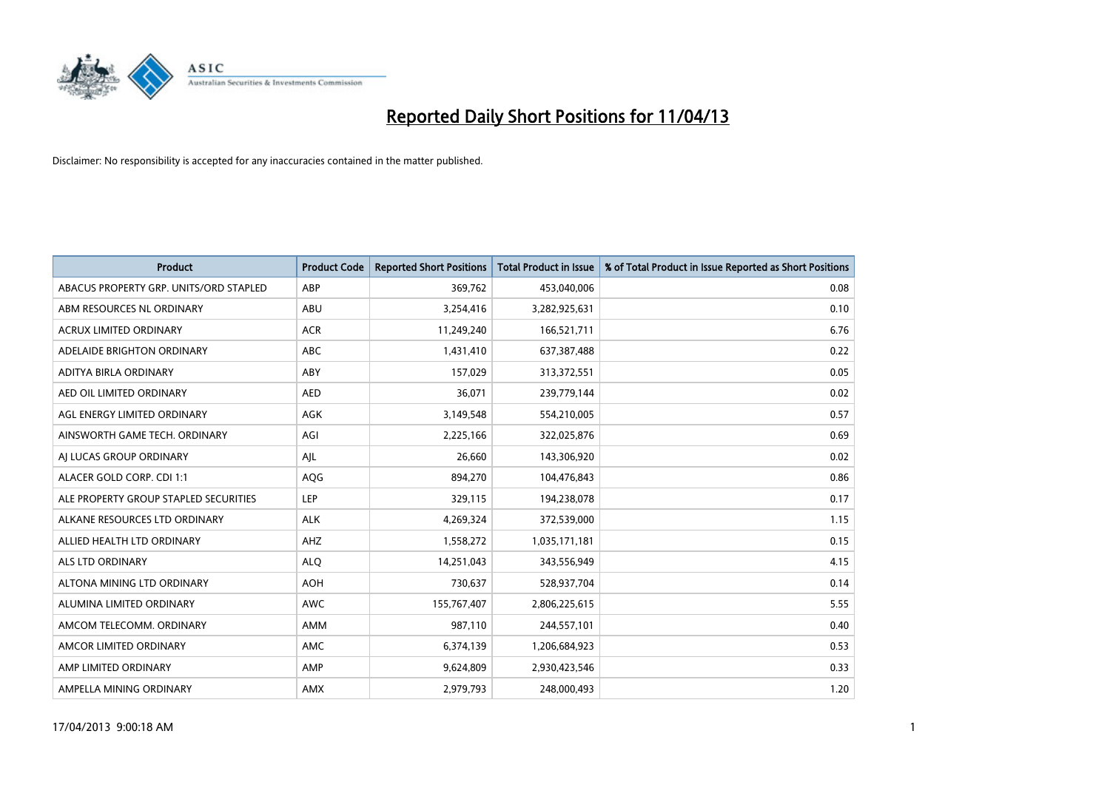

| <b>Product</b>                         | <b>Product Code</b> | <b>Reported Short Positions</b> | Total Product in Issue | % of Total Product in Issue Reported as Short Positions |
|----------------------------------------|---------------------|---------------------------------|------------------------|---------------------------------------------------------|
| ABACUS PROPERTY GRP. UNITS/ORD STAPLED | ABP                 | 369,762                         | 453,040,006            | 0.08                                                    |
| ABM RESOURCES NL ORDINARY              | ABU                 | 3,254,416                       | 3,282,925,631          | 0.10                                                    |
| <b>ACRUX LIMITED ORDINARY</b>          | <b>ACR</b>          | 11,249,240                      | 166,521,711            | 6.76                                                    |
| ADELAIDE BRIGHTON ORDINARY             | <b>ABC</b>          | 1,431,410                       | 637,387,488            | 0.22                                                    |
| ADITYA BIRLA ORDINARY                  | ABY                 | 157,029                         | 313,372,551            | 0.05                                                    |
| AED OIL LIMITED ORDINARY               | <b>AED</b>          | 36,071                          | 239,779,144            | 0.02                                                    |
| AGL ENERGY LIMITED ORDINARY            | AGK                 | 3,149,548                       | 554,210,005            | 0.57                                                    |
| AINSWORTH GAME TECH. ORDINARY          | AGI                 | 2,225,166                       | 322,025,876            | 0.69                                                    |
| AI LUCAS GROUP ORDINARY                | AJL                 | 26,660                          | 143,306,920            | 0.02                                                    |
| ALACER GOLD CORP. CDI 1:1              | AQG                 | 894,270                         | 104,476,843            | 0.86                                                    |
| ALE PROPERTY GROUP STAPLED SECURITIES  | <b>LEP</b>          | 329,115                         | 194,238,078            | 0.17                                                    |
| ALKANE RESOURCES LTD ORDINARY          | <b>ALK</b>          | 4,269,324                       | 372,539,000            | 1.15                                                    |
| ALLIED HEALTH LTD ORDINARY             | AHZ                 | 1,558,272                       | 1,035,171,181          | 0.15                                                    |
| ALS LTD ORDINARY                       | <b>ALO</b>          | 14,251,043                      | 343,556,949            | 4.15                                                    |
| ALTONA MINING LTD ORDINARY             | <b>AOH</b>          | 730,637                         | 528,937,704            | 0.14                                                    |
| ALUMINA LIMITED ORDINARY               | <b>AWC</b>          | 155,767,407                     | 2,806,225,615          | 5.55                                                    |
| AMCOM TELECOMM. ORDINARY               | AMM                 | 987,110                         | 244,557,101            | 0.40                                                    |
| AMCOR LIMITED ORDINARY                 | AMC                 | 6,374,139                       | 1,206,684,923          | 0.53                                                    |
| AMP LIMITED ORDINARY                   | AMP                 | 9,624,809                       | 2,930,423,546          | 0.33                                                    |
| AMPELLA MINING ORDINARY                | AMX                 | 2,979,793                       | 248,000,493            | 1.20                                                    |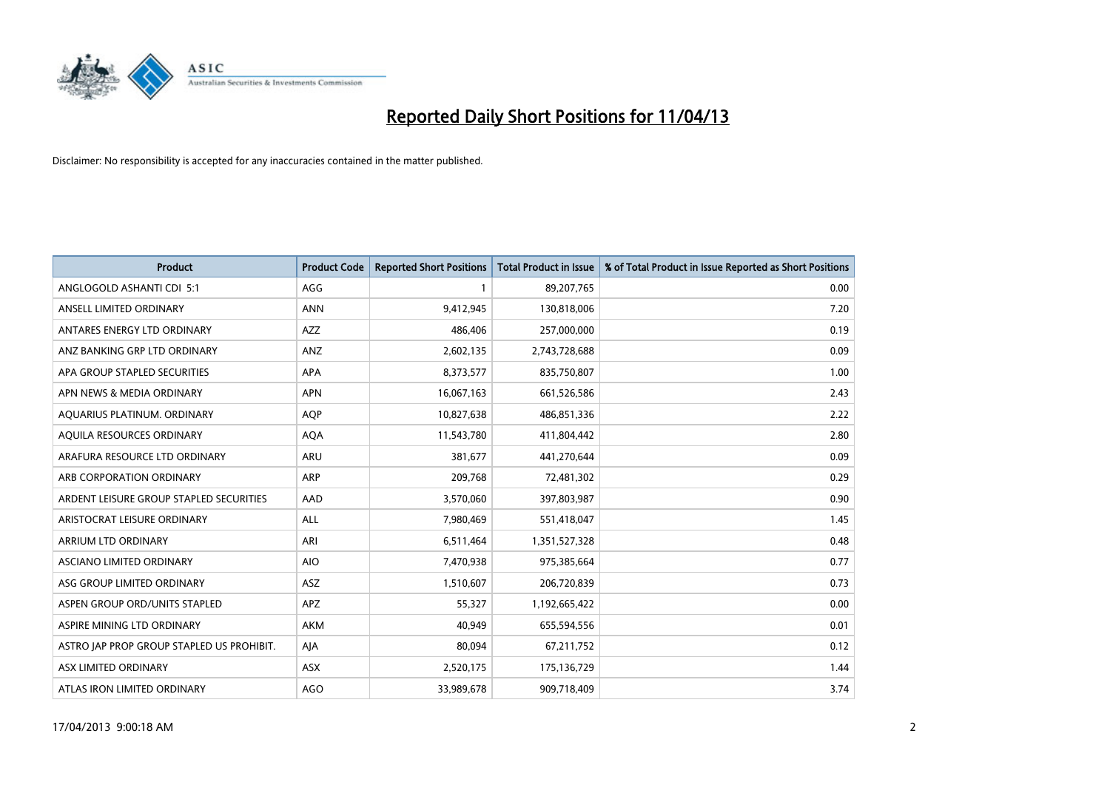

| Product                                   | <b>Product Code</b> | <b>Reported Short Positions</b> | <b>Total Product in Issue</b> | % of Total Product in Issue Reported as Short Positions |
|-------------------------------------------|---------------------|---------------------------------|-------------------------------|---------------------------------------------------------|
| ANGLOGOLD ASHANTI CDI 5:1                 | AGG                 | 1                               | 89,207,765                    | 0.00                                                    |
| ANSELL LIMITED ORDINARY                   | <b>ANN</b>          | 9,412,945                       | 130,818,006                   | 7.20                                                    |
| ANTARES ENERGY LTD ORDINARY               | <b>AZZ</b>          | 486,406                         | 257,000,000                   | 0.19                                                    |
| ANZ BANKING GRP LTD ORDINARY              | ANZ                 | 2,602,135                       | 2,743,728,688                 | 0.09                                                    |
| APA GROUP STAPLED SECURITIES              | APA                 | 8,373,577                       | 835,750,807                   | 1.00                                                    |
| APN NEWS & MEDIA ORDINARY                 | <b>APN</b>          | 16,067,163                      | 661,526,586                   | 2.43                                                    |
| AQUARIUS PLATINUM. ORDINARY               | <b>AOP</b>          | 10,827,638                      | 486,851,336                   | 2.22                                                    |
| AQUILA RESOURCES ORDINARY                 | <b>AQA</b>          | 11,543,780                      | 411,804,442                   | 2.80                                                    |
| ARAFURA RESOURCE LTD ORDINARY             | ARU                 | 381,677                         | 441,270,644                   | 0.09                                                    |
| ARB CORPORATION ORDINARY                  | <b>ARP</b>          | 209,768                         | 72,481,302                    | 0.29                                                    |
| ARDENT LEISURE GROUP STAPLED SECURITIES   | AAD                 | 3,570,060                       | 397,803,987                   | 0.90                                                    |
| ARISTOCRAT LEISURE ORDINARY               | ALL                 | 7,980,469                       | 551,418,047                   | 1.45                                                    |
| ARRIUM LTD ORDINARY                       | ARI                 | 6,511,464                       | 1,351,527,328                 | 0.48                                                    |
| ASCIANO LIMITED ORDINARY                  | <b>AIO</b>          | 7,470,938                       | 975,385,664                   | 0.77                                                    |
| ASG GROUP LIMITED ORDINARY                | <b>ASZ</b>          | 1,510,607                       | 206,720,839                   | 0.73                                                    |
| ASPEN GROUP ORD/UNITS STAPLED             | <b>APZ</b>          | 55,327                          | 1,192,665,422                 | 0.00                                                    |
| ASPIRE MINING LTD ORDINARY                | AKM                 | 40,949                          | 655,594,556                   | 0.01                                                    |
| ASTRO JAP PROP GROUP STAPLED US PROHIBIT. | AJA                 | 80,094                          | 67,211,752                    | 0.12                                                    |
| ASX LIMITED ORDINARY                      | ASX                 | 2,520,175                       | 175,136,729                   | 1.44                                                    |
| ATLAS IRON LIMITED ORDINARY               | <b>AGO</b>          | 33,989,678                      | 909,718,409                   | 3.74                                                    |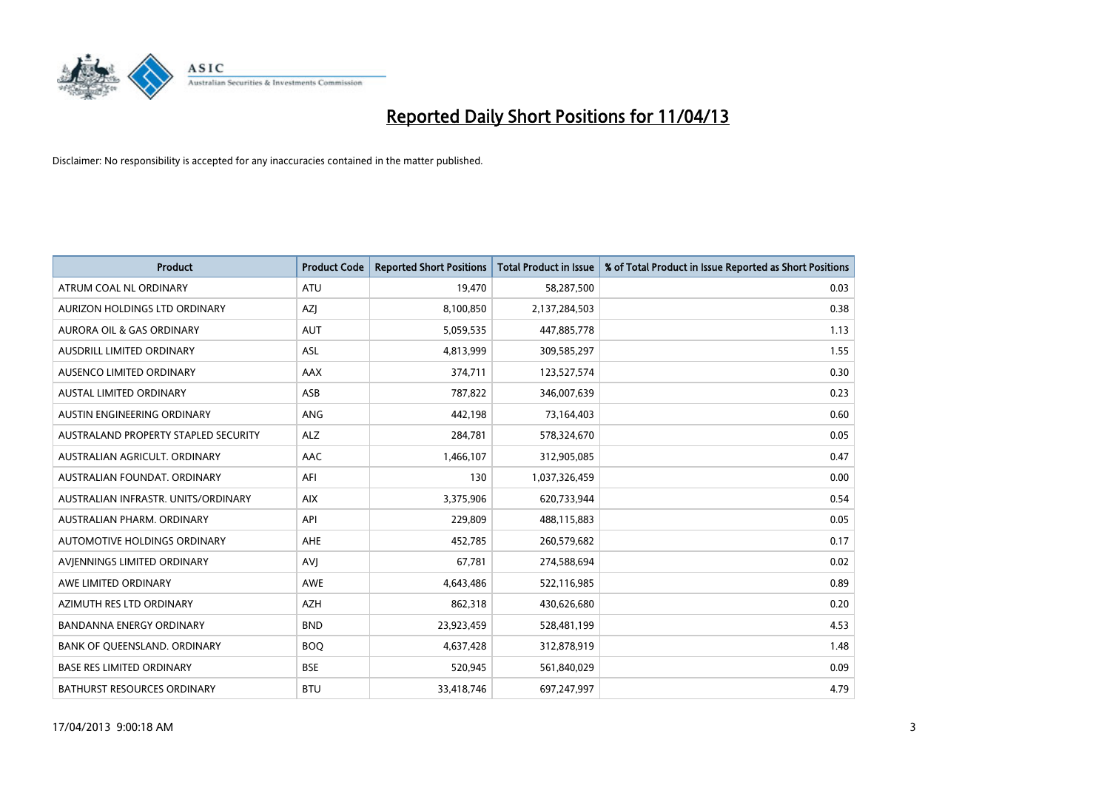

| <b>Product</b>                       | <b>Product Code</b> | <b>Reported Short Positions</b> | <b>Total Product in Issue</b> | % of Total Product in Issue Reported as Short Positions |
|--------------------------------------|---------------------|---------------------------------|-------------------------------|---------------------------------------------------------|
| ATRUM COAL NL ORDINARY               | <b>ATU</b>          | 19,470                          | 58,287,500                    | 0.03                                                    |
| AURIZON HOLDINGS LTD ORDINARY        | AZJ                 | 8,100,850                       | 2,137,284,503                 | 0.38                                                    |
| AURORA OIL & GAS ORDINARY            | AUT                 | 5,059,535                       | 447,885,778                   | 1.13                                                    |
| AUSDRILL LIMITED ORDINARY            | ASL                 | 4,813,999                       | 309,585,297                   | 1.55                                                    |
| AUSENCO LIMITED ORDINARY             | <b>AAX</b>          | 374,711                         | 123,527,574                   | 0.30                                                    |
| <b>AUSTAL LIMITED ORDINARY</b>       | ASB                 | 787,822                         | 346,007,639                   | 0.23                                                    |
| AUSTIN ENGINEERING ORDINARY          | ANG                 | 442,198                         | 73,164,403                    | 0.60                                                    |
| AUSTRALAND PROPERTY STAPLED SECURITY | <b>ALZ</b>          | 284,781                         | 578,324,670                   | 0.05                                                    |
| AUSTRALIAN AGRICULT, ORDINARY        | AAC                 | 1,466,107                       | 312,905,085                   | 0.47                                                    |
| AUSTRALIAN FOUNDAT, ORDINARY         | AFI                 | 130                             | 1,037,326,459                 | 0.00                                                    |
| AUSTRALIAN INFRASTR, UNITS/ORDINARY  | <b>AIX</b>          | 3,375,906                       | 620,733,944                   | 0.54                                                    |
| AUSTRALIAN PHARM, ORDINARY           | API                 | 229,809                         | 488,115,883                   | 0.05                                                    |
| AUTOMOTIVE HOLDINGS ORDINARY         | AHE                 | 452,785                         | 260,579,682                   | 0.17                                                    |
| AVIENNINGS LIMITED ORDINARY          | AVI                 | 67,781                          | 274,588,694                   | 0.02                                                    |
| AWE LIMITED ORDINARY                 | <b>AWE</b>          | 4,643,486                       | 522,116,985                   | 0.89                                                    |
| AZIMUTH RES LTD ORDINARY             | AZH                 | 862,318                         | 430,626,680                   | 0.20                                                    |
| <b>BANDANNA ENERGY ORDINARY</b>      | <b>BND</b>          | 23,923,459                      | 528,481,199                   | 4.53                                                    |
| BANK OF QUEENSLAND. ORDINARY         | <b>BOQ</b>          | 4,637,428                       | 312,878,919                   | 1.48                                                    |
| <b>BASE RES LIMITED ORDINARY</b>     | <b>BSE</b>          | 520,945                         | 561,840,029                   | 0.09                                                    |
| BATHURST RESOURCES ORDINARY          | <b>BTU</b>          | 33,418,746                      | 697,247,997                   | 4.79                                                    |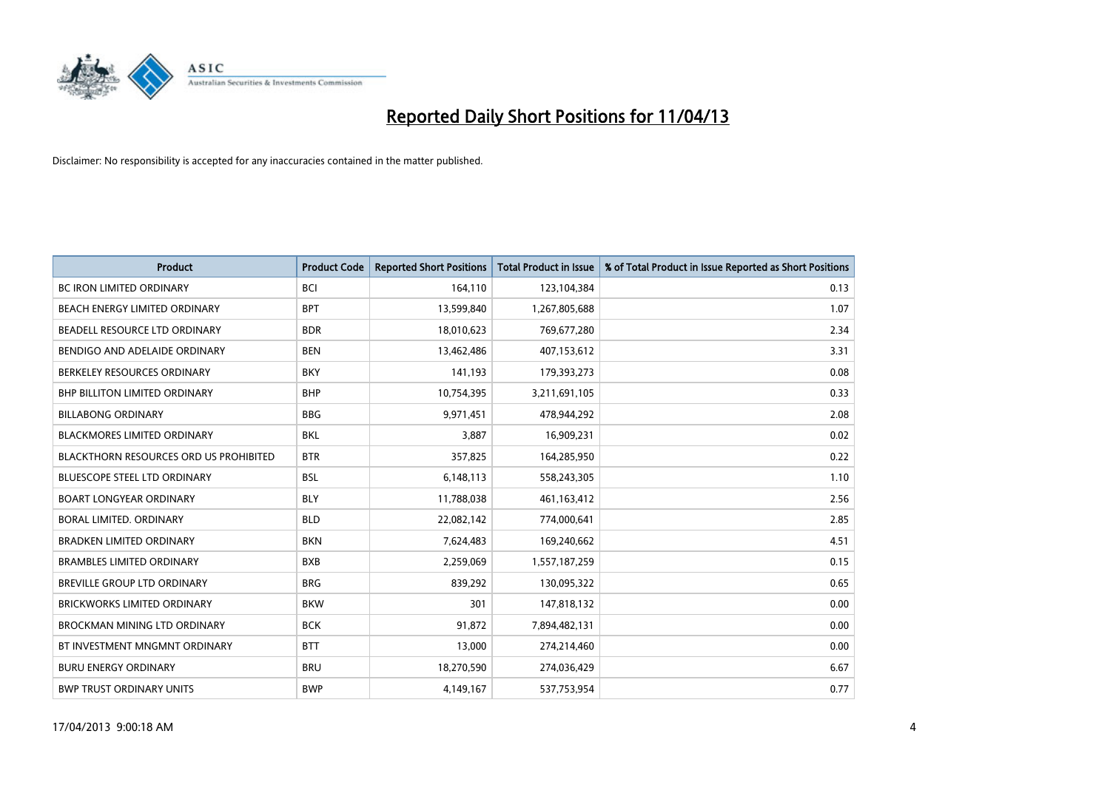

| <b>Product</b>                                | <b>Product Code</b> | <b>Reported Short Positions</b> | <b>Total Product in Issue</b> | % of Total Product in Issue Reported as Short Positions |
|-----------------------------------------------|---------------------|---------------------------------|-------------------------------|---------------------------------------------------------|
| <b>BC IRON LIMITED ORDINARY</b>               | <b>BCI</b>          | 164,110                         | 123,104,384                   | 0.13                                                    |
| BEACH ENERGY LIMITED ORDINARY                 | <b>BPT</b>          | 13,599,840                      | 1,267,805,688                 | 1.07                                                    |
| BEADELL RESOURCE LTD ORDINARY                 | <b>BDR</b>          | 18,010,623                      | 769,677,280                   | 2.34                                                    |
| BENDIGO AND ADELAIDE ORDINARY                 | <b>BEN</b>          | 13,462,486                      | 407,153,612                   | 3.31                                                    |
| BERKELEY RESOURCES ORDINARY                   | <b>BKY</b>          | 141,193                         | 179,393,273                   | 0.08                                                    |
| <b>BHP BILLITON LIMITED ORDINARY</b>          | <b>BHP</b>          | 10,754,395                      | 3,211,691,105                 | 0.33                                                    |
| <b>BILLABONG ORDINARY</b>                     | <b>BBG</b>          | 9,971,451                       | 478,944,292                   | 2.08                                                    |
| <b>BLACKMORES LIMITED ORDINARY</b>            | <b>BKL</b>          | 3,887                           | 16,909,231                    | 0.02                                                    |
| <b>BLACKTHORN RESOURCES ORD US PROHIBITED</b> | <b>BTR</b>          | 357,825                         | 164,285,950                   | 0.22                                                    |
| <b>BLUESCOPE STEEL LTD ORDINARY</b>           | <b>BSL</b>          | 6,148,113                       | 558,243,305                   | 1.10                                                    |
| <b>BOART LONGYEAR ORDINARY</b>                | <b>BLY</b>          | 11,788,038                      | 461,163,412                   | 2.56                                                    |
| BORAL LIMITED, ORDINARY                       | <b>BLD</b>          | 22,082,142                      | 774,000,641                   | 2.85                                                    |
| <b>BRADKEN LIMITED ORDINARY</b>               | <b>BKN</b>          | 7,624,483                       | 169,240,662                   | 4.51                                                    |
| <b>BRAMBLES LIMITED ORDINARY</b>              | <b>BXB</b>          | 2,259,069                       | 1,557,187,259                 | 0.15                                                    |
| BREVILLE GROUP LTD ORDINARY                   | <b>BRG</b>          | 839,292                         | 130,095,322                   | 0.65                                                    |
| <b>BRICKWORKS LIMITED ORDINARY</b>            | <b>BKW</b>          | 301                             | 147,818,132                   | 0.00                                                    |
| BROCKMAN MINING LTD ORDINARY                  | <b>BCK</b>          | 91,872                          | 7,894,482,131                 | 0.00                                                    |
| BT INVESTMENT MNGMNT ORDINARY                 | <b>BTT</b>          | 13,000                          | 274,214,460                   | 0.00                                                    |
| <b>BURU ENERGY ORDINARY</b>                   | <b>BRU</b>          | 18,270,590                      | 274,036,429                   | 6.67                                                    |
| <b>BWP TRUST ORDINARY UNITS</b>               | <b>BWP</b>          | 4,149,167                       | 537,753,954                   | 0.77                                                    |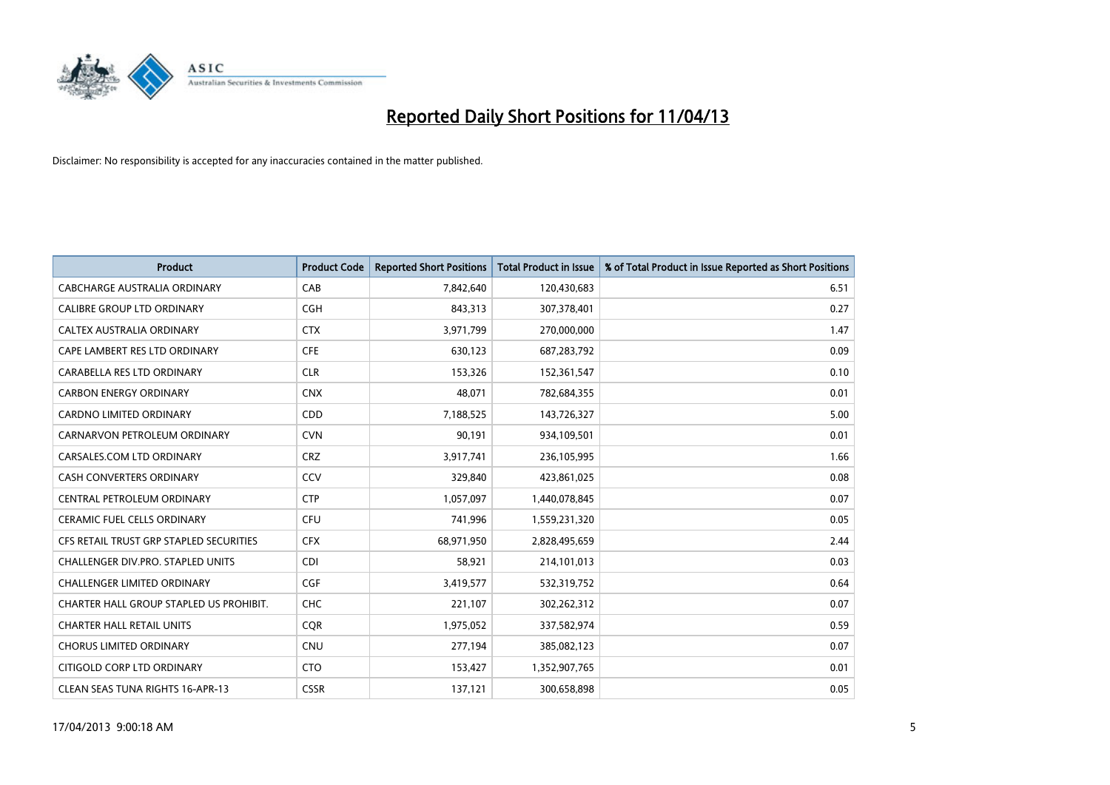

| <b>Product</b>                          | <b>Product Code</b> | <b>Reported Short Positions</b> | <b>Total Product in Issue</b> | % of Total Product in Issue Reported as Short Positions |
|-----------------------------------------|---------------------|---------------------------------|-------------------------------|---------------------------------------------------------|
| <b>CABCHARGE AUSTRALIA ORDINARY</b>     | CAB                 | 7,842,640                       | 120,430,683                   | 6.51                                                    |
| CALIBRE GROUP LTD ORDINARY              | <b>CGH</b>          | 843,313                         | 307,378,401                   | 0.27                                                    |
| <b>CALTEX AUSTRALIA ORDINARY</b>        | <b>CTX</b>          | 3,971,799                       | 270,000,000                   | 1.47                                                    |
| CAPE LAMBERT RES LTD ORDINARY           | <b>CFE</b>          | 630,123                         | 687,283,792                   | 0.09                                                    |
| CARABELLA RES LTD ORDINARY              | <b>CLR</b>          | 153,326                         | 152,361,547                   | 0.10                                                    |
| <b>CARBON ENERGY ORDINARY</b>           | <b>CNX</b>          | 48,071                          | 782,684,355                   | 0.01                                                    |
| <b>CARDNO LIMITED ORDINARY</b>          | CDD                 | 7,188,525                       | 143,726,327                   | 5.00                                                    |
| CARNARVON PETROLEUM ORDINARY            | <b>CVN</b>          | 90,191                          | 934,109,501                   | 0.01                                                    |
| CARSALES.COM LTD ORDINARY               | <b>CRZ</b>          | 3,917,741                       | 236,105,995                   | 1.66                                                    |
| <b>CASH CONVERTERS ORDINARY</b>         | CCV                 | 329,840                         | 423,861,025                   | 0.08                                                    |
| CENTRAL PETROLEUM ORDINARY              | <b>CTP</b>          | 1,057,097                       | 1,440,078,845                 | 0.07                                                    |
| <b>CERAMIC FUEL CELLS ORDINARY</b>      | <b>CFU</b>          | 741,996                         | 1,559,231,320                 | 0.05                                                    |
| CFS RETAIL TRUST GRP STAPLED SECURITIES | <b>CFX</b>          | 68,971,950                      | 2,828,495,659                 | 2.44                                                    |
| CHALLENGER DIV.PRO. STAPLED UNITS       | <b>CDI</b>          | 58,921                          | 214,101,013                   | 0.03                                                    |
| <b>CHALLENGER LIMITED ORDINARY</b>      | <b>CGF</b>          | 3,419,577                       | 532,319,752                   | 0.64                                                    |
| CHARTER HALL GROUP STAPLED US PROHIBIT. | <b>CHC</b>          | 221,107                         | 302,262,312                   | 0.07                                                    |
| <b>CHARTER HALL RETAIL UNITS</b>        | <b>CQR</b>          | 1,975,052                       | 337,582,974                   | 0.59                                                    |
| <b>CHORUS LIMITED ORDINARY</b>          | <b>CNU</b>          | 277,194                         | 385,082,123                   | 0.07                                                    |
| CITIGOLD CORP LTD ORDINARY              | <b>CTO</b>          | 153,427                         | 1,352,907,765                 | 0.01                                                    |
| CLEAN SEAS TUNA RIGHTS 16-APR-13        | <b>CSSR</b>         | 137,121                         | 300,658,898                   | 0.05                                                    |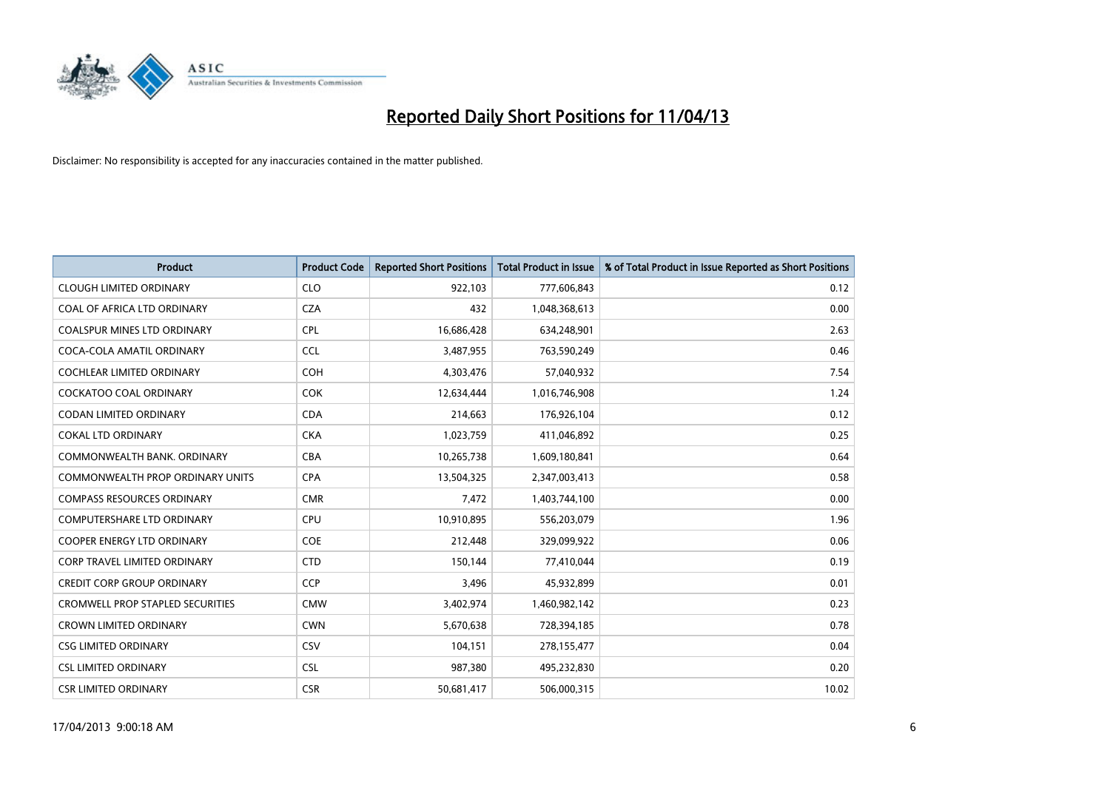

| <b>Product</b>                          | <b>Product Code</b> | <b>Reported Short Positions</b> | <b>Total Product in Issue</b> | % of Total Product in Issue Reported as Short Positions |
|-----------------------------------------|---------------------|---------------------------------|-------------------------------|---------------------------------------------------------|
| <b>CLOUGH LIMITED ORDINARY</b>          | <b>CLO</b>          | 922,103                         | 777,606,843                   | 0.12                                                    |
| COAL OF AFRICA LTD ORDINARY             | <b>CZA</b>          | 432                             | 1,048,368,613                 | 0.00                                                    |
| <b>COALSPUR MINES LTD ORDINARY</b>      | <b>CPL</b>          | 16,686,428                      | 634,248,901                   | 2.63                                                    |
| COCA-COLA AMATIL ORDINARY               | <b>CCL</b>          | 3,487,955                       | 763,590,249                   | 0.46                                                    |
| <b>COCHLEAR LIMITED ORDINARY</b>        | <b>COH</b>          | 4,303,476                       | 57,040,932                    | 7.54                                                    |
| <b>COCKATOO COAL ORDINARY</b>           | COK                 | 12,634,444                      | 1,016,746,908                 | 1.24                                                    |
| <b>CODAN LIMITED ORDINARY</b>           | <b>CDA</b>          | 214,663                         | 176,926,104                   | 0.12                                                    |
| <b>COKAL LTD ORDINARY</b>               | <b>CKA</b>          | 1,023,759                       | 411,046,892                   | 0.25                                                    |
| COMMONWEALTH BANK, ORDINARY             | <b>CBA</b>          | 10,265,738                      | 1,609,180,841                 | 0.64                                                    |
| COMMONWEALTH PROP ORDINARY UNITS        | <b>CPA</b>          | 13,504,325                      | 2,347,003,413                 | 0.58                                                    |
| <b>COMPASS RESOURCES ORDINARY</b>       | <b>CMR</b>          | 7,472                           | 1,403,744,100                 | 0.00                                                    |
| <b>COMPUTERSHARE LTD ORDINARY</b>       | <b>CPU</b>          | 10,910,895                      | 556,203,079                   | 1.96                                                    |
| <b>COOPER ENERGY LTD ORDINARY</b>       | <b>COE</b>          | 212,448                         | 329,099,922                   | 0.06                                                    |
| <b>CORP TRAVEL LIMITED ORDINARY</b>     | <b>CTD</b>          | 150,144                         | 77,410,044                    | 0.19                                                    |
| <b>CREDIT CORP GROUP ORDINARY</b>       | <b>CCP</b>          | 3,496                           | 45,932,899                    | 0.01                                                    |
| <b>CROMWELL PROP STAPLED SECURITIES</b> | <b>CMW</b>          | 3,402,974                       | 1,460,982,142                 | 0.23                                                    |
| <b>CROWN LIMITED ORDINARY</b>           | <b>CWN</b>          | 5,670,638                       | 728,394,185                   | 0.78                                                    |
| <b>CSG LIMITED ORDINARY</b>             | CSV                 | 104,151                         | 278,155,477                   | 0.04                                                    |
| <b>CSL LIMITED ORDINARY</b>             | <b>CSL</b>          | 987,380                         | 495,232,830                   | 0.20                                                    |
| <b>CSR LIMITED ORDINARY</b>             | <b>CSR</b>          | 50,681,417                      | 506,000,315                   | 10.02                                                   |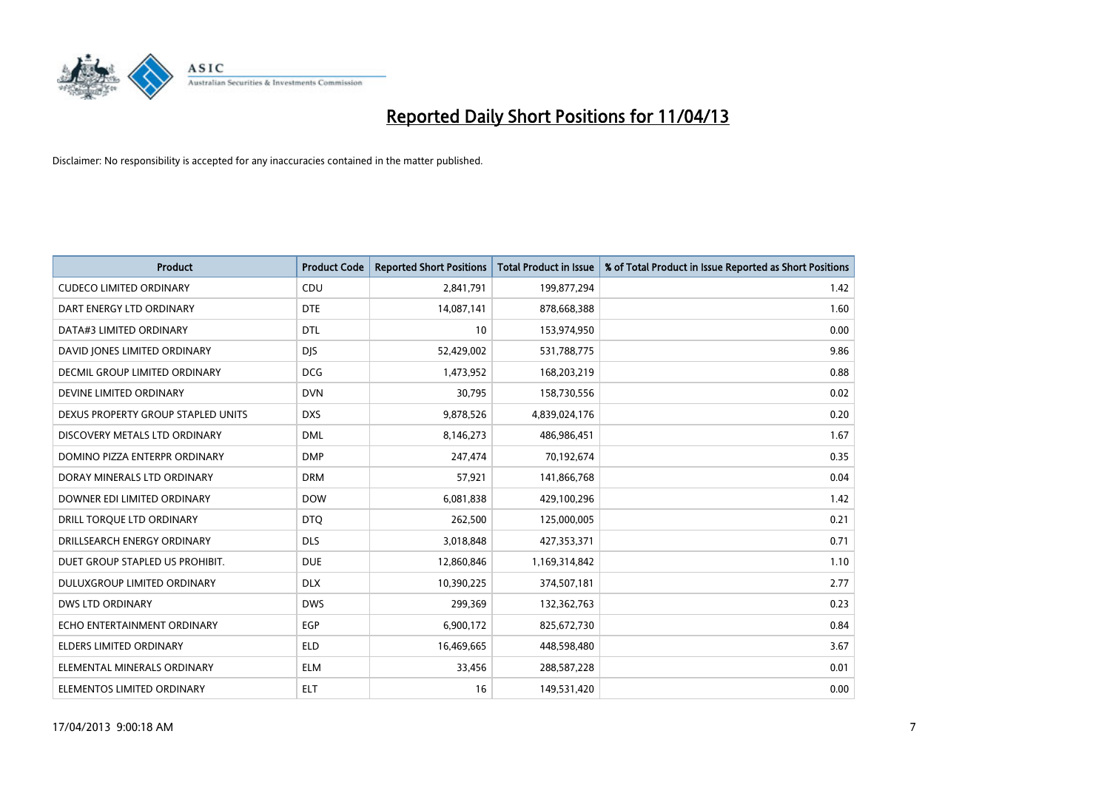

| <b>Product</b>                     | <b>Product Code</b> | <b>Reported Short Positions</b> | <b>Total Product in Issue</b> | % of Total Product in Issue Reported as Short Positions |
|------------------------------------|---------------------|---------------------------------|-------------------------------|---------------------------------------------------------|
| <b>CUDECO LIMITED ORDINARY</b>     | CDU                 | 2,841,791                       | 199,877,294                   | 1.42                                                    |
| DART ENERGY LTD ORDINARY           | <b>DTE</b>          | 14,087,141                      | 878,668,388                   | 1.60                                                    |
| DATA#3 LIMITED ORDINARY            | <b>DTL</b>          | 10                              | 153,974,950                   | 0.00                                                    |
| DAVID JONES LIMITED ORDINARY       | <b>DJS</b>          | 52,429,002                      | 531,788,775                   | 9.86                                                    |
| DECMIL GROUP LIMITED ORDINARY      | <b>DCG</b>          | 1,473,952                       | 168,203,219                   | 0.88                                                    |
| DEVINE LIMITED ORDINARY            | <b>DVN</b>          | 30,795                          | 158,730,556                   | 0.02                                                    |
| DEXUS PROPERTY GROUP STAPLED UNITS | <b>DXS</b>          | 9,878,526                       | 4,839,024,176                 | 0.20                                                    |
| DISCOVERY METALS LTD ORDINARY      | <b>DML</b>          | 8,146,273                       | 486,986,451                   | 1.67                                                    |
| DOMINO PIZZA ENTERPR ORDINARY      | <b>DMP</b>          | 247,474                         | 70,192,674                    | 0.35                                                    |
| DORAY MINERALS LTD ORDINARY        | <b>DRM</b>          | 57,921                          | 141,866,768                   | 0.04                                                    |
| DOWNER EDI LIMITED ORDINARY        | <b>DOW</b>          | 6,081,838                       | 429,100,296                   | 1.42                                                    |
| DRILL TORQUE LTD ORDINARY          | <b>DTQ</b>          | 262,500                         | 125,000,005                   | 0.21                                                    |
| DRILLSEARCH ENERGY ORDINARY        | <b>DLS</b>          | 3,018,848                       | 427,353,371                   | 0.71                                                    |
| DUET GROUP STAPLED US PROHIBIT.    | <b>DUE</b>          | 12,860,846                      | 1,169,314,842                 | 1.10                                                    |
| DULUXGROUP LIMITED ORDINARY        | <b>DLX</b>          | 10,390,225                      | 374,507,181                   | 2.77                                                    |
| <b>DWS LTD ORDINARY</b>            | <b>DWS</b>          | 299,369                         | 132,362,763                   | 0.23                                                    |
| ECHO ENTERTAINMENT ORDINARY        | EGP                 | 6,900,172                       | 825,672,730                   | 0.84                                                    |
| <b>ELDERS LIMITED ORDINARY</b>     | <b>ELD</b>          | 16,469,665                      | 448,598,480                   | 3.67                                                    |
| ELEMENTAL MINERALS ORDINARY        | <b>ELM</b>          | 33,456                          | 288,587,228                   | 0.01                                                    |
| ELEMENTOS LIMITED ORDINARY         | <b>ELT</b>          | 16                              | 149,531,420                   | 0.00                                                    |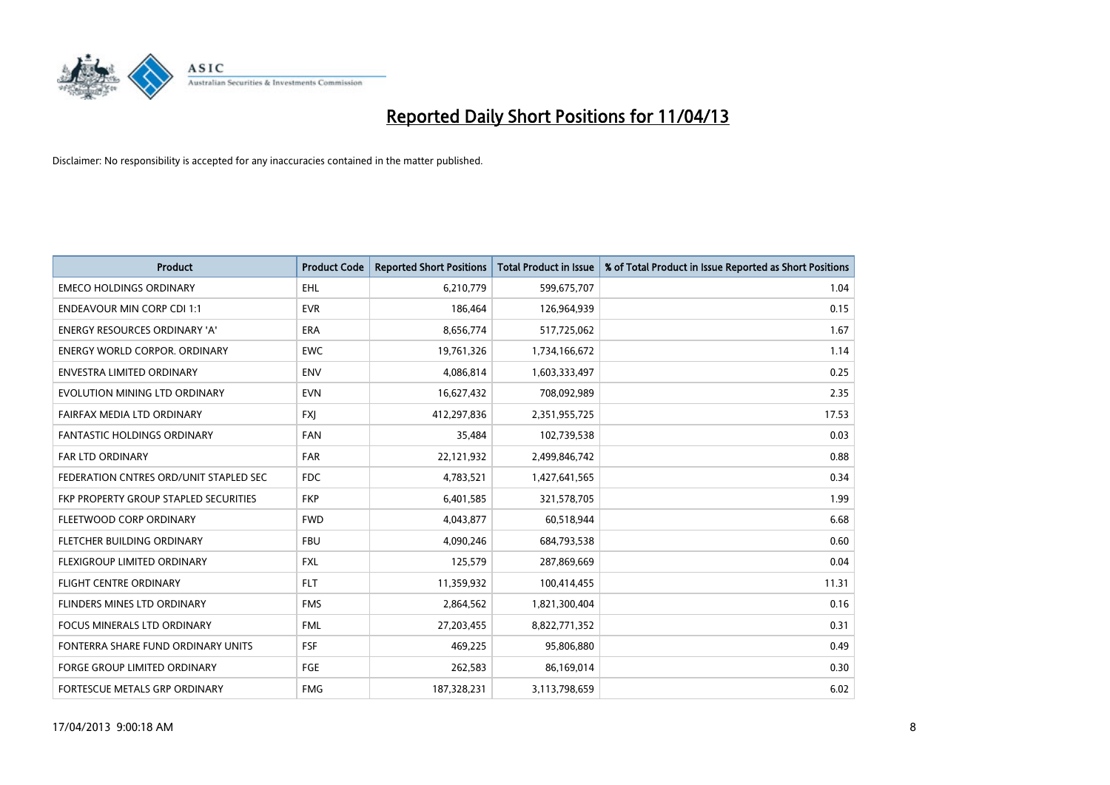

| <b>Product</b>                         | <b>Product Code</b> | <b>Reported Short Positions</b> | <b>Total Product in Issue</b> | % of Total Product in Issue Reported as Short Positions |
|----------------------------------------|---------------------|---------------------------------|-------------------------------|---------------------------------------------------------|
| <b>EMECO HOLDINGS ORDINARY</b>         | <b>EHL</b>          | 6,210,779                       | 599,675,707                   | 1.04                                                    |
| <b>ENDEAVOUR MIN CORP CDI 1:1</b>      | <b>EVR</b>          | 186,464                         | 126,964,939                   | 0.15                                                    |
| <b>ENERGY RESOURCES ORDINARY 'A'</b>   | <b>ERA</b>          | 8,656,774                       | 517,725,062                   | 1.67                                                    |
| ENERGY WORLD CORPOR. ORDINARY          | <b>EWC</b>          | 19,761,326                      | 1,734,166,672                 | 1.14                                                    |
| <b>ENVESTRA LIMITED ORDINARY</b>       | <b>ENV</b>          | 4,086,814                       | 1,603,333,497                 | 0.25                                                    |
| EVOLUTION MINING LTD ORDINARY          | <b>EVN</b>          | 16,627,432                      | 708,092,989                   | 2.35                                                    |
| FAIRFAX MEDIA LTD ORDINARY             | <b>FXI</b>          | 412,297,836                     | 2,351,955,725                 | 17.53                                                   |
| FANTASTIC HOLDINGS ORDINARY            | <b>FAN</b>          | 35,484                          | 102,739,538                   | 0.03                                                    |
| <b>FAR LTD ORDINARY</b>                | <b>FAR</b>          | 22,121,932                      | 2,499,846,742                 | 0.88                                                    |
| FEDERATION CNTRES ORD/UNIT STAPLED SEC | <b>FDC</b>          | 4,783,521                       | 1,427,641,565                 | 0.34                                                    |
| FKP PROPERTY GROUP STAPLED SECURITIES  | <b>FKP</b>          | 6,401,585                       | 321,578,705                   | 1.99                                                    |
| FLEETWOOD CORP ORDINARY                | <b>FWD</b>          | 4,043,877                       | 60,518,944                    | 6.68                                                    |
| FLETCHER BUILDING ORDINARY             | <b>FBU</b>          | 4,090,246                       | 684,793,538                   | 0.60                                                    |
| FLEXIGROUP LIMITED ORDINARY            | <b>FXL</b>          | 125,579                         | 287,869,669                   | 0.04                                                    |
| <b>FLIGHT CENTRE ORDINARY</b>          | <b>FLT</b>          | 11,359,932                      | 100,414,455                   | 11.31                                                   |
| FLINDERS MINES LTD ORDINARY            | <b>FMS</b>          | 2,864,562                       | 1,821,300,404                 | 0.16                                                    |
| FOCUS MINERALS LTD ORDINARY            | <b>FML</b>          | 27,203,455                      | 8,822,771,352                 | 0.31                                                    |
| FONTERRA SHARE FUND ORDINARY UNITS     | <b>FSF</b>          | 469,225                         | 95,806,880                    | 0.49                                                    |
| <b>FORGE GROUP LIMITED ORDINARY</b>    | FGE                 | 262,583                         | 86,169,014                    | 0.30                                                    |
| FORTESCUE METALS GRP ORDINARY          | <b>FMG</b>          | 187,328,231                     | 3,113,798,659                 | 6.02                                                    |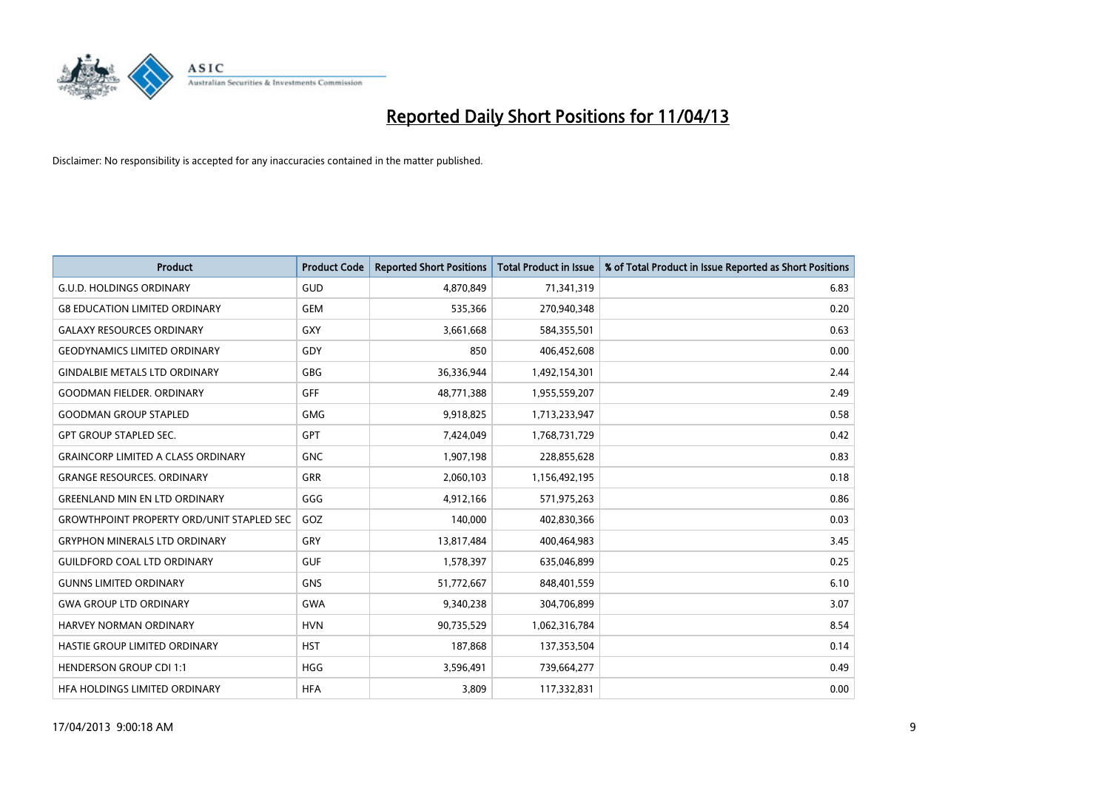

| <b>Product</b>                                   | <b>Product Code</b> | <b>Reported Short Positions</b> | <b>Total Product in Issue</b> | % of Total Product in Issue Reported as Short Positions |
|--------------------------------------------------|---------------------|---------------------------------|-------------------------------|---------------------------------------------------------|
| <b>G.U.D. HOLDINGS ORDINARY</b>                  | GUD                 | 4,870,849                       | 71,341,319                    | 6.83                                                    |
| <b>G8 EDUCATION LIMITED ORDINARY</b>             | <b>GEM</b>          | 535,366                         | 270,940,348                   | 0.20                                                    |
| <b>GALAXY RESOURCES ORDINARY</b>                 | <b>GXY</b>          | 3,661,668                       | 584,355,501                   | 0.63                                                    |
| <b>GEODYNAMICS LIMITED ORDINARY</b>              | GDY                 | 850                             | 406,452,608                   | 0.00                                                    |
| <b>GINDALBIE METALS LTD ORDINARY</b>             | <b>GBG</b>          | 36,336,944                      | 1,492,154,301                 | 2.44                                                    |
| <b>GOODMAN FIELDER, ORDINARY</b>                 | GFF                 | 48,771,388                      | 1,955,559,207                 | 2.49                                                    |
| <b>GOODMAN GROUP STAPLED</b>                     | <b>GMG</b>          | 9,918,825                       | 1,713,233,947                 | 0.58                                                    |
| <b>GPT GROUP STAPLED SEC.</b>                    | GPT                 | 7,424,049                       | 1,768,731,729                 | 0.42                                                    |
| <b>GRAINCORP LIMITED A CLASS ORDINARY</b>        | <b>GNC</b>          | 1,907,198                       | 228,855,628                   | 0.83                                                    |
| <b>GRANGE RESOURCES, ORDINARY</b>                | <b>GRR</b>          | 2,060,103                       | 1,156,492,195                 | 0.18                                                    |
| <b>GREENLAND MIN EN LTD ORDINARY</b>             | GGG                 | 4,912,166                       | 571,975,263                   | 0.86                                                    |
| <b>GROWTHPOINT PROPERTY ORD/UNIT STAPLED SEC</b> | GOZ                 | 140,000                         | 402,830,366                   | 0.03                                                    |
| <b>GRYPHON MINERALS LTD ORDINARY</b>             | GRY                 | 13,817,484                      | 400,464,983                   | 3.45                                                    |
| <b>GUILDFORD COAL LTD ORDINARY</b>               | <b>GUF</b>          | 1,578,397                       | 635,046,899                   | 0.25                                                    |
| <b>GUNNS LIMITED ORDINARY</b>                    | <b>GNS</b>          | 51,772,667                      | 848,401,559                   | 6.10                                                    |
| <b>GWA GROUP LTD ORDINARY</b>                    | GWA                 | 9,340,238                       | 304,706,899                   | 3.07                                                    |
| HARVEY NORMAN ORDINARY                           | <b>HVN</b>          | 90,735,529                      | 1,062,316,784                 | 8.54                                                    |
| HASTIE GROUP LIMITED ORDINARY                    | <b>HST</b>          | 187,868                         | 137,353,504                   | 0.14                                                    |
| <b>HENDERSON GROUP CDI 1:1</b>                   | HGG                 | 3,596,491                       | 739,664,277                   | 0.49                                                    |
| HEA HOLDINGS LIMITED ORDINARY                    | <b>HFA</b>          | 3,809                           | 117,332,831                   | 0.00                                                    |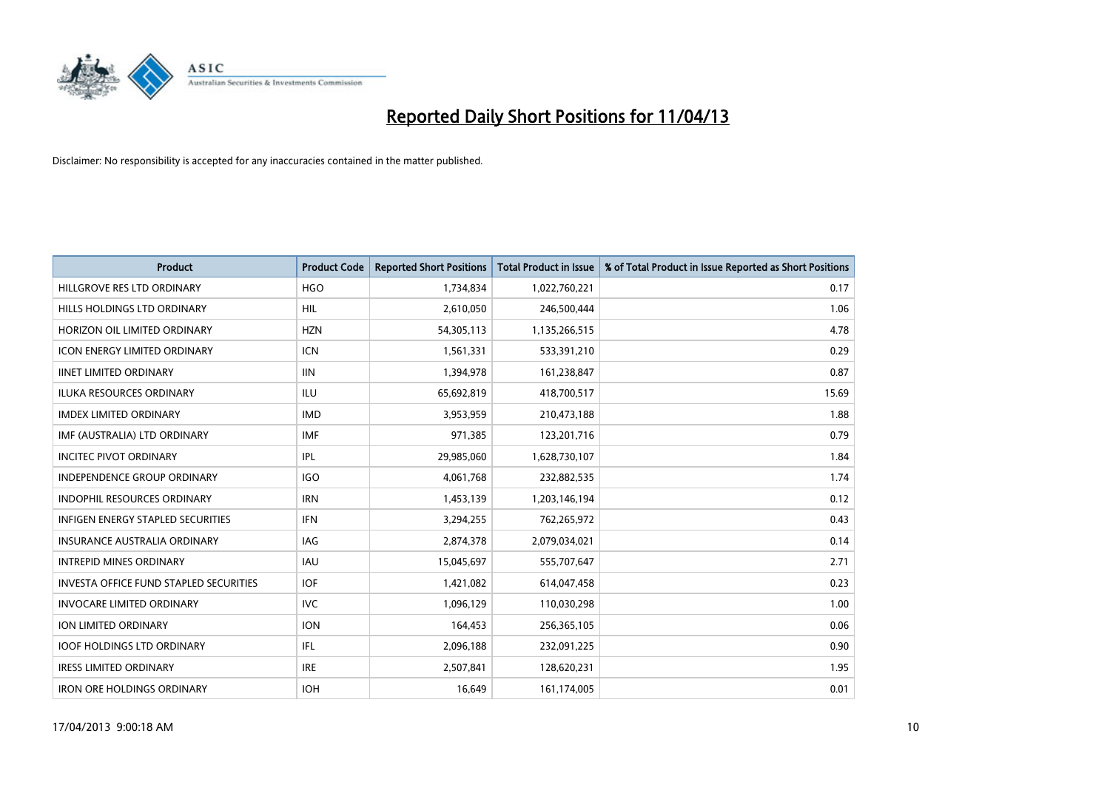

| <b>Product</b>                                | <b>Product Code</b> | <b>Reported Short Positions</b> | <b>Total Product in Issue</b> | % of Total Product in Issue Reported as Short Positions |
|-----------------------------------------------|---------------------|---------------------------------|-------------------------------|---------------------------------------------------------|
| HILLGROVE RES LTD ORDINARY                    | <b>HGO</b>          | 1,734,834                       | 1,022,760,221                 | 0.17                                                    |
| HILLS HOLDINGS LTD ORDINARY                   | <b>HIL</b>          | 2,610,050                       | 246,500,444                   | 1.06                                                    |
| HORIZON OIL LIMITED ORDINARY                  | <b>HZN</b>          | 54,305,113                      | 1,135,266,515                 | 4.78                                                    |
| ICON ENERGY LIMITED ORDINARY                  | <b>ICN</b>          | 1,561,331                       | 533,391,210                   | 0.29                                                    |
| <b>IINET LIMITED ORDINARY</b>                 | <b>IIN</b>          | 1,394,978                       | 161,238,847                   | 0.87                                                    |
| <b>ILUKA RESOURCES ORDINARY</b>               | <b>ILU</b>          | 65,692,819                      | 418,700,517                   | 15.69                                                   |
| <b>IMDEX LIMITED ORDINARY</b>                 | <b>IMD</b>          | 3,953,959                       | 210,473,188                   | 1.88                                                    |
| IMF (AUSTRALIA) LTD ORDINARY                  | <b>IMF</b>          | 971,385                         | 123,201,716                   | 0.79                                                    |
| <b>INCITEC PIVOT ORDINARY</b>                 | <b>IPL</b>          | 29,985,060                      | 1,628,730,107                 | 1.84                                                    |
| <b>INDEPENDENCE GROUP ORDINARY</b>            | <b>IGO</b>          | 4,061,768                       | 232,882,535                   | 1.74                                                    |
| <b>INDOPHIL RESOURCES ORDINARY</b>            | <b>IRN</b>          | 1,453,139                       | 1,203,146,194                 | 0.12                                                    |
| <b>INFIGEN ENERGY STAPLED SECURITIES</b>      | <b>IFN</b>          | 3,294,255                       | 762,265,972                   | 0.43                                                    |
| <b>INSURANCE AUSTRALIA ORDINARY</b>           | <b>IAG</b>          | 2,874,378                       | 2,079,034,021                 | 0.14                                                    |
| <b>INTREPID MINES ORDINARY</b>                | <b>IAU</b>          | 15,045,697                      | 555,707,647                   | 2.71                                                    |
| <b>INVESTA OFFICE FUND STAPLED SECURITIES</b> | <b>IOF</b>          | 1,421,082                       | 614,047,458                   | 0.23                                                    |
| <b>INVOCARE LIMITED ORDINARY</b>              | <b>IVC</b>          | 1,096,129                       | 110,030,298                   | 1.00                                                    |
| ION LIMITED ORDINARY                          | <b>ION</b>          | 164,453                         | 256,365,105                   | 0.06                                                    |
| <b>IOOF HOLDINGS LTD ORDINARY</b>             | IFL.                | 2,096,188                       | 232,091,225                   | 0.90                                                    |
| <b>IRESS LIMITED ORDINARY</b>                 | <b>IRE</b>          | 2,507,841                       | 128,620,231                   | 1.95                                                    |
| <b>IRON ORE HOLDINGS ORDINARY</b>             | <b>IOH</b>          | 16,649                          | 161,174,005                   | 0.01                                                    |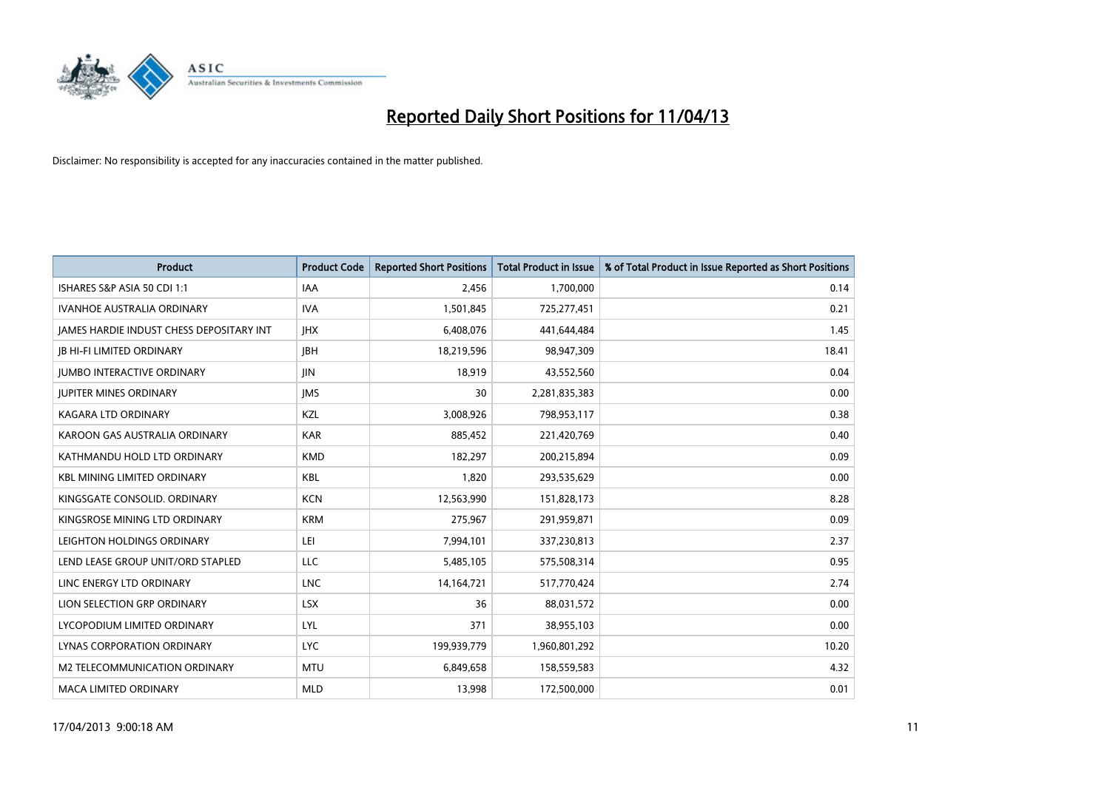

| <b>Product</b>                           | <b>Product Code</b> | <b>Reported Short Positions</b> | <b>Total Product in Issue</b> | % of Total Product in Issue Reported as Short Positions |
|------------------------------------------|---------------------|---------------------------------|-------------------------------|---------------------------------------------------------|
| ISHARES S&P ASIA 50 CDI 1:1              | <b>IAA</b>          | 2,456                           | 1,700,000                     | 0.14                                                    |
| IVANHOE AUSTRALIA ORDINARY               | <b>IVA</b>          | 1,501,845                       | 725,277,451                   | 0.21                                                    |
| JAMES HARDIE INDUST CHESS DEPOSITARY INT | <b>IHX</b>          | 6,408,076                       | 441,644,484                   | 1.45                                                    |
| <b>JB HI-FI LIMITED ORDINARY</b>         | <b>JBH</b>          | 18,219,596                      | 98,947,309                    | 18.41                                                   |
| <b>JUMBO INTERACTIVE ORDINARY</b>        | <b>JIN</b>          | 18,919                          | 43,552,560                    | 0.04                                                    |
| <b>JUPITER MINES ORDINARY</b>            | <b>IMS</b>          | 30                              | 2,281,835,383                 | 0.00                                                    |
| <b>KAGARA LTD ORDINARY</b>               | KZL                 | 3,008,926                       | 798,953,117                   | 0.38                                                    |
| KAROON GAS AUSTRALIA ORDINARY            | <b>KAR</b>          | 885,452                         | 221,420,769                   | 0.40                                                    |
| KATHMANDU HOLD LTD ORDINARY              | <b>KMD</b>          | 182,297                         | 200,215,894                   | 0.09                                                    |
| <b>KBL MINING LIMITED ORDINARY</b>       | <b>KBL</b>          | 1,820                           | 293,535,629                   | 0.00                                                    |
| KINGSGATE CONSOLID. ORDINARY             | <b>KCN</b>          | 12,563,990                      | 151,828,173                   | 8.28                                                    |
| KINGSROSE MINING LTD ORDINARY            | <b>KRM</b>          | 275,967                         | 291,959,871                   | 0.09                                                    |
| LEIGHTON HOLDINGS ORDINARY               | LEI                 | 7,994,101                       | 337,230,813                   | 2.37                                                    |
| LEND LEASE GROUP UNIT/ORD STAPLED        | LLC                 | 5,485,105                       | 575,508,314                   | 0.95                                                    |
| LINC ENERGY LTD ORDINARY                 | <b>LNC</b>          | 14,164,721                      | 517,770,424                   | 2.74                                                    |
| LION SELECTION GRP ORDINARY              | <b>LSX</b>          | 36                              | 88,031,572                    | 0.00                                                    |
| LYCOPODIUM LIMITED ORDINARY              | LYL                 | 371                             | 38,955,103                    | 0.00                                                    |
| LYNAS CORPORATION ORDINARY               | <b>LYC</b>          | 199,939,779                     | 1,960,801,292                 | 10.20                                                   |
| M2 TELECOMMUNICATION ORDINARY            | <b>MTU</b>          | 6,849,658                       | 158,559,583                   | 4.32                                                    |
| <b>MACA LIMITED ORDINARY</b>             | <b>MLD</b>          | 13,998                          | 172,500,000                   | 0.01                                                    |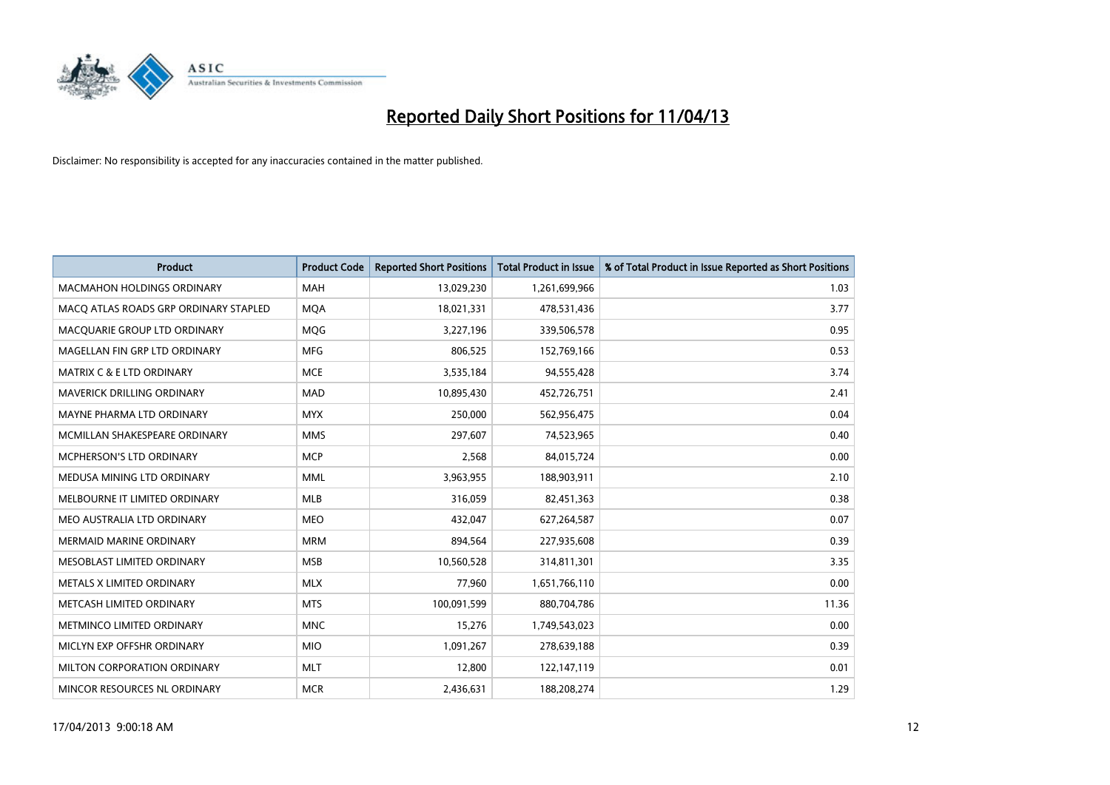

| <b>Product</b>                        | <b>Product Code</b> | <b>Reported Short Positions</b> | <b>Total Product in Issue</b> | % of Total Product in Issue Reported as Short Positions |
|---------------------------------------|---------------------|---------------------------------|-------------------------------|---------------------------------------------------------|
| <b>MACMAHON HOLDINGS ORDINARY</b>     | <b>MAH</b>          | 13,029,230                      | 1,261,699,966                 | 1.03                                                    |
| MACQ ATLAS ROADS GRP ORDINARY STAPLED | <b>MQA</b>          | 18,021,331                      | 478,531,436                   | 3.77                                                    |
| MACQUARIE GROUP LTD ORDINARY          | <b>MOG</b>          | 3,227,196                       | 339,506,578                   | 0.95                                                    |
| MAGELLAN FIN GRP LTD ORDINARY         | <b>MFG</b>          | 806,525                         | 152,769,166                   | 0.53                                                    |
| <b>MATRIX C &amp; E LTD ORDINARY</b>  | <b>MCE</b>          | 3,535,184                       | 94,555,428                    | 3.74                                                    |
| MAVERICK DRILLING ORDINARY            | <b>MAD</b>          | 10,895,430                      | 452,726,751                   | 2.41                                                    |
| MAYNE PHARMA LTD ORDINARY             | <b>MYX</b>          | 250,000                         | 562,956,475                   | 0.04                                                    |
| MCMILLAN SHAKESPEARE ORDINARY         | <b>MMS</b>          | 297,607                         | 74,523,965                    | 0.40                                                    |
| <b>MCPHERSON'S LTD ORDINARY</b>       | <b>MCP</b>          | 2,568                           | 84,015,724                    | 0.00                                                    |
| MEDUSA MINING LTD ORDINARY            | <b>MML</b>          | 3,963,955                       | 188,903,911                   | 2.10                                                    |
| MELBOURNE IT LIMITED ORDINARY         | <b>MLB</b>          | 316,059                         | 82,451,363                    | 0.38                                                    |
| MEO AUSTRALIA LTD ORDINARY            | MEO                 | 432,047                         | 627,264,587                   | 0.07                                                    |
| MERMAID MARINE ORDINARY               | <b>MRM</b>          | 894,564                         | 227,935,608                   | 0.39                                                    |
| MESOBLAST LIMITED ORDINARY            | <b>MSB</b>          | 10,560,528                      | 314,811,301                   | 3.35                                                    |
| METALS X LIMITED ORDINARY             | <b>MLX</b>          | 77,960                          | 1,651,766,110                 | 0.00                                                    |
| METCASH LIMITED ORDINARY              | <b>MTS</b>          | 100,091,599                     | 880,704,786                   | 11.36                                                   |
| METMINCO LIMITED ORDINARY             | <b>MNC</b>          | 15,276                          | 1,749,543,023                 | 0.00                                                    |
| MICLYN EXP OFFSHR ORDINARY            | <b>MIO</b>          | 1,091,267                       | 278,639,188                   | 0.39                                                    |
| MILTON CORPORATION ORDINARY           | <b>MLT</b>          | 12,800                          | 122,147,119                   | 0.01                                                    |
| MINCOR RESOURCES NL ORDINARY          | <b>MCR</b>          | 2,436,631                       | 188,208,274                   | 1.29                                                    |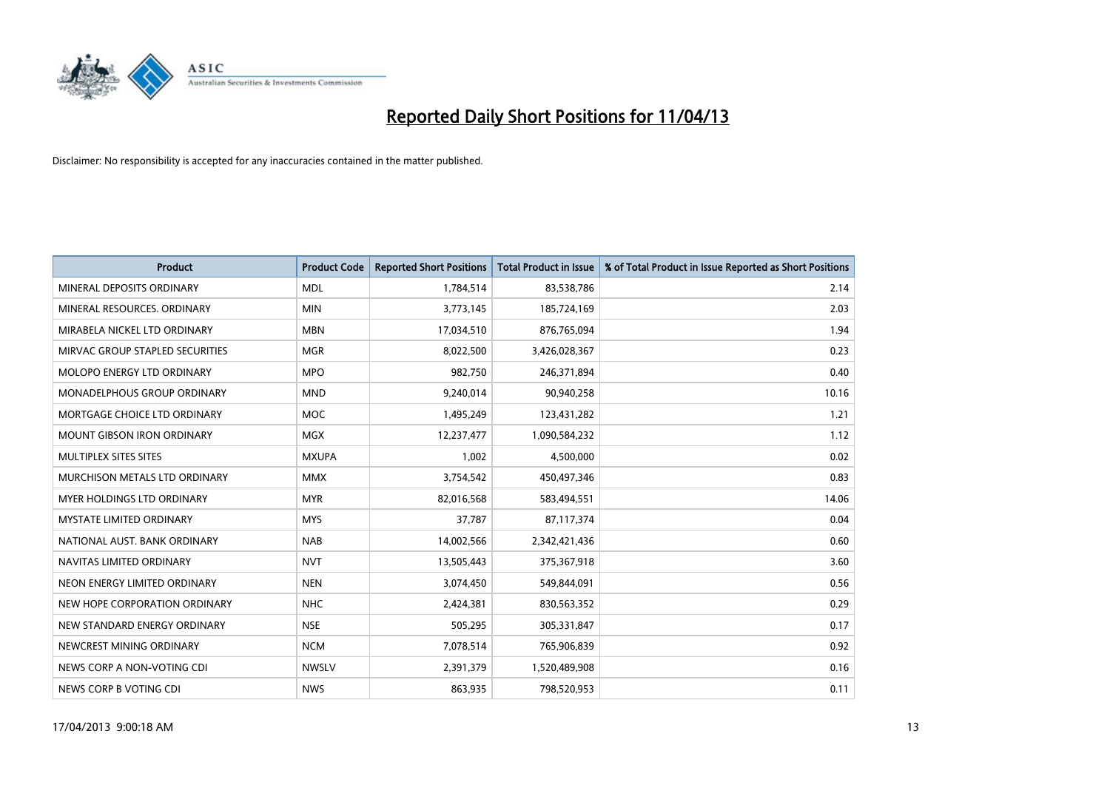

| <b>Product</b>                    | <b>Product Code</b> | <b>Reported Short Positions</b> | <b>Total Product in Issue</b> | % of Total Product in Issue Reported as Short Positions |
|-----------------------------------|---------------------|---------------------------------|-------------------------------|---------------------------------------------------------|
| MINERAL DEPOSITS ORDINARY         | <b>MDL</b>          | 1,784,514                       | 83,538,786                    | 2.14                                                    |
| MINERAL RESOURCES, ORDINARY       | <b>MIN</b>          | 3,773,145                       | 185,724,169                   | 2.03                                                    |
| MIRABELA NICKEL LTD ORDINARY      | <b>MBN</b>          | 17,034,510                      | 876,765,094                   | 1.94                                                    |
| MIRVAC GROUP STAPLED SECURITIES   | <b>MGR</b>          | 8,022,500                       | 3,426,028,367                 | 0.23                                                    |
| MOLOPO ENERGY LTD ORDINARY        | <b>MPO</b>          | 982,750                         | 246,371,894                   | 0.40                                                    |
| MONADELPHOUS GROUP ORDINARY       | <b>MND</b>          | 9,240,014                       | 90,940,258                    | 10.16                                                   |
| MORTGAGE CHOICE LTD ORDINARY      | <b>MOC</b>          | 1,495,249                       | 123,431,282                   | 1.21                                                    |
| <b>MOUNT GIBSON IRON ORDINARY</b> | <b>MGX</b>          | 12,237,477                      | 1,090,584,232                 | 1.12                                                    |
| MULTIPLEX SITES SITES             | <b>MXUPA</b>        | 1,002                           | 4,500,000                     | 0.02                                                    |
| MURCHISON METALS LTD ORDINARY     | <b>MMX</b>          | 3,754,542                       | 450,497,346                   | 0.83                                                    |
| MYER HOLDINGS LTD ORDINARY        | <b>MYR</b>          | 82,016,568                      | 583,494,551                   | 14.06                                                   |
| <b>MYSTATE LIMITED ORDINARY</b>   | <b>MYS</b>          | 37,787                          | 87,117,374                    | 0.04                                                    |
| NATIONAL AUST, BANK ORDINARY      | <b>NAB</b>          | 14,002,566                      | 2,342,421,436                 | 0.60                                                    |
| NAVITAS LIMITED ORDINARY          | <b>NVT</b>          | 13,505,443                      | 375,367,918                   | 3.60                                                    |
| NEON ENERGY LIMITED ORDINARY      | <b>NEN</b>          | 3,074,450                       | 549,844,091                   | 0.56                                                    |
| NEW HOPE CORPORATION ORDINARY     | <b>NHC</b>          | 2,424,381                       | 830,563,352                   | 0.29                                                    |
| NEW STANDARD ENERGY ORDINARY      | <b>NSE</b>          | 505,295                         | 305,331,847                   | 0.17                                                    |
| NEWCREST MINING ORDINARY          | <b>NCM</b>          | 7,078,514                       | 765,906,839                   | 0.92                                                    |
| NEWS CORP A NON-VOTING CDI        | <b>NWSLV</b>        | 2,391,379                       | 1,520,489,908                 | 0.16                                                    |
| NEWS CORP B VOTING CDI            | <b>NWS</b>          | 863,935                         | 798,520,953                   | 0.11                                                    |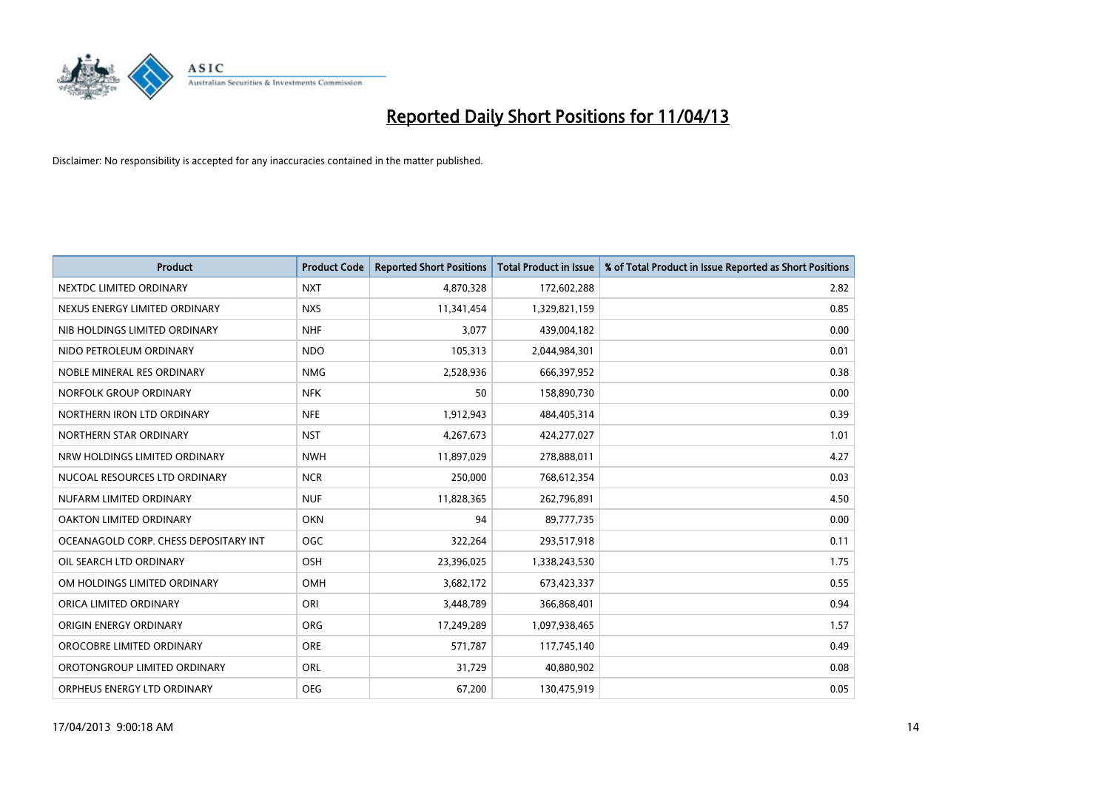

| <b>Product</b>                        | <b>Product Code</b> | <b>Reported Short Positions</b> | <b>Total Product in Issue</b> | % of Total Product in Issue Reported as Short Positions |
|---------------------------------------|---------------------|---------------------------------|-------------------------------|---------------------------------------------------------|
| NEXTDC LIMITED ORDINARY               | <b>NXT</b>          | 4,870,328                       | 172,602,288                   | 2.82                                                    |
| NEXUS ENERGY LIMITED ORDINARY         | <b>NXS</b>          | 11,341,454                      | 1,329,821,159                 | 0.85                                                    |
| NIB HOLDINGS LIMITED ORDINARY         | <b>NHF</b>          | 3,077                           | 439,004,182                   | 0.00                                                    |
| NIDO PETROLEUM ORDINARY               | <b>NDO</b>          | 105,313                         | 2,044,984,301                 | 0.01                                                    |
| NOBLE MINERAL RES ORDINARY            | <b>NMG</b>          | 2,528,936                       | 666,397,952                   | 0.38                                                    |
| NORFOLK GROUP ORDINARY                | <b>NFK</b>          | 50                              | 158,890,730                   | 0.00                                                    |
| NORTHERN IRON LTD ORDINARY            | <b>NFE</b>          | 1,912,943                       | 484,405,314                   | 0.39                                                    |
| NORTHERN STAR ORDINARY                | <b>NST</b>          | 4,267,673                       | 424,277,027                   | 1.01                                                    |
| NRW HOLDINGS LIMITED ORDINARY         | <b>NWH</b>          | 11,897,029                      | 278,888,011                   | 4.27                                                    |
| NUCOAL RESOURCES LTD ORDINARY         | <b>NCR</b>          | 250,000                         | 768,612,354                   | 0.03                                                    |
| NUFARM LIMITED ORDINARY               | <b>NUF</b>          | 11,828,365                      | 262,796,891                   | 4.50                                                    |
| OAKTON LIMITED ORDINARY               | <b>OKN</b>          | 94                              | 89,777,735                    | 0.00                                                    |
| OCEANAGOLD CORP. CHESS DEPOSITARY INT | <b>OGC</b>          | 322,264                         | 293,517,918                   | 0.11                                                    |
| OIL SEARCH LTD ORDINARY               | OSH                 | 23,396,025                      | 1,338,243,530                 | 1.75                                                    |
| OM HOLDINGS LIMITED ORDINARY          | OMH                 | 3,682,172                       | 673,423,337                   | 0.55                                                    |
| ORICA LIMITED ORDINARY                | ORI                 | 3,448,789                       | 366,868,401                   | 0.94                                                    |
| ORIGIN ENERGY ORDINARY                | ORG                 | 17,249,289                      | 1,097,938,465                 | 1.57                                                    |
| OROCOBRE LIMITED ORDINARY             | <b>ORE</b>          | 571,787                         | 117,745,140                   | 0.49                                                    |
| OROTONGROUP LIMITED ORDINARY          | ORL                 | 31,729                          | 40,880,902                    | 0.08                                                    |
| ORPHEUS ENERGY LTD ORDINARY           | <b>OEG</b>          | 67,200                          | 130,475,919                   | 0.05                                                    |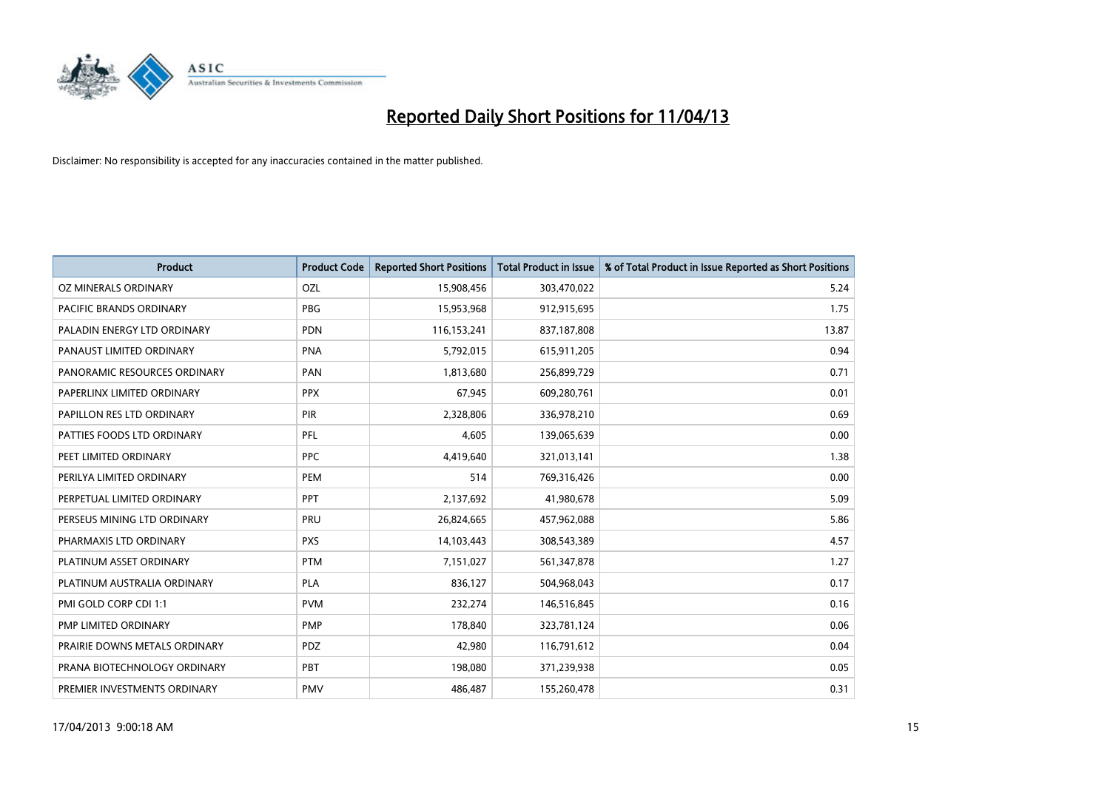

| Product                        | <b>Product Code</b> | <b>Reported Short Positions</b> | <b>Total Product in Issue</b> | % of Total Product in Issue Reported as Short Positions |
|--------------------------------|---------------------|---------------------------------|-------------------------------|---------------------------------------------------------|
| OZ MINERALS ORDINARY           | OZL                 | 15,908,456                      | 303,470,022                   | 5.24                                                    |
| <b>PACIFIC BRANDS ORDINARY</b> | <b>PBG</b>          | 15,953,968                      | 912,915,695                   | 1.75                                                    |
| PALADIN ENERGY LTD ORDINARY    | <b>PDN</b>          | 116,153,241                     | 837,187,808                   | 13.87                                                   |
| PANAUST LIMITED ORDINARY       | <b>PNA</b>          | 5,792,015                       | 615,911,205                   | 0.94                                                    |
| PANORAMIC RESOURCES ORDINARY   | PAN                 | 1,813,680                       | 256,899,729                   | 0.71                                                    |
| PAPERLINX LIMITED ORDINARY     | <b>PPX</b>          | 67,945                          | 609,280,761                   | 0.01                                                    |
| PAPILLON RES LTD ORDINARY      | <b>PIR</b>          | 2,328,806                       | 336,978,210                   | 0.69                                                    |
| PATTIES FOODS LTD ORDINARY     | PFL                 | 4,605                           | 139,065,639                   | 0.00                                                    |
| PEET LIMITED ORDINARY          | <b>PPC</b>          | 4,419,640                       | 321,013,141                   | 1.38                                                    |
| PERILYA LIMITED ORDINARY       | PEM                 | 514                             | 769,316,426                   | 0.00                                                    |
| PERPETUAL LIMITED ORDINARY     | <b>PPT</b>          | 2,137,692                       | 41,980,678                    | 5.09                                                    |
| PERSEUS MINING LTD ORDINARY    | <b>PRU</b>          | 26,824,665                      | 457,962,088                   | 5.86                                                    |
| PHARMAXIS LTD ORDINARY         | <b>PXS</b>          | 14,103,443                      | 308,543,389                   | 4.57                                                    |
| PLATINUM ASSET ORDINARY        | <b>PTM</b>          | 7,151,027                       | 561,347,878                   | 1.27                                                    |
| PLATINUM AUSTRALIA ORDINARY    | PLA                 | 836,127                         | 504,968,043                   | 0.17                                                    |
| PMI GOLD CORP CDI 1:1          | <b>PVM</b>          | 232,274                         | 146,516,845                   | 0.16                                                    |
| PMP LIMITED ORDINARY           | <b>PMP</b>          | 178,840                         | 323,781,124                   | 0.06                                                    |
| PRAIRIE DOWNS METALS ORDINARY  | <b>PDZ</b>          | 42.980                          | 116,791,612                   | 0.04                                                    |
| PRANA BIOTECHNOLOGY ORDINARY   | PBT                 | 198,080                         | 371,239,938                   | 0.05                                                    |
| PREMIER INVESTMENTS ORDINARY   | <b>PMV</b>          | 486,487                         | 155,260,478                   | 0.31                                                    |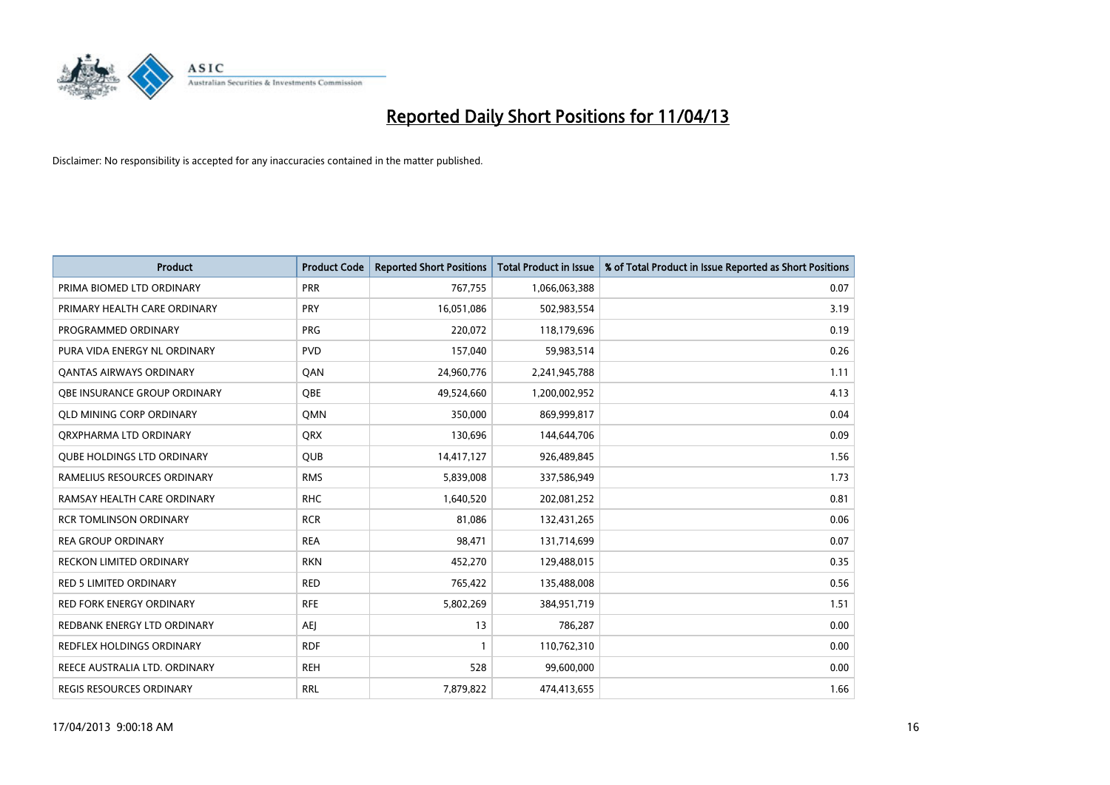

| <b>Product</b>                    | <b>Product Code</b> | <b>Reported Short Positions</b> | <b>Total Product in Issue</b> | % of Total Product in Issue Reported as Short Positions |
|-----------------------------------|---------------------|---------------------------------|-------------------------------|---------------------------------------------------------|
| PRIMA BIOMED LTD ORDINARY         | <b>PRR</b>          | 767,755                         | 1,066,063,388                 | 0.07                                                    |
| PRIMARY HEALTH CARE ORDINARY      | <b>PRY</b>          | 16,051,086                      | 502,983,554                   | 3.19                                                    |
| PROGRAMMED ORDINARY               | <b>PRG</b>          | 220,072                         | 118,179,696                   | 0.19                                                    |
| PURA VIDA ENERGY NL ORDINARY      | <b>PVD</b>          | 157,040                         | 59,983,514                    | 0.26                                                    |
| OANTAS AIRWAYS ORDINARY           | QAN                 | 24,960,776                      | 2,241,945,788                 | 1.11                                                    |
| OBE INSURANCE GROUP ORDINARY      | <b>OBE</b>          | 49,524,660                      | 1,200,002,952                 | 4.13                                                    |
| <b>QLD MINING CORP ORDINARY</b>   | <b>OMN</b>          | 350,000                         | 869,999,817                   | 0.04                                                    |
| ORXPHARMA LTD ORDINARY            | <b>QRX</b>          | 130,696                         | 144,644,706                   | 0.09                                                    |
| <b>QUBE HOLDINGS LTD ORDINARY</b> | <b>QUB</b>          | 14,417,127                      | 926,489,845                   | 1.56                                                    |
| RAMELIUS RESOURCES ORDINARY       | <b>RMS</b>          | 5,839,008                       | 337,586,949                   | 1.73                                                    |
| RAMSAY HEALTH CARE ORDINARY       | <b>RHC</b>          | 1,640,520                       | 202,081,252                   | 0.81                                                    |
| <b>RCR TOMLINSON ORDINARY</b>     | <b>RCR</b>          | 81,086                          | 132,431,265                   | 0.06                                                    |
| <b>REA GROUP ORDINARY</b>         | <b>REA</b>          | 98,471                          | 131,714,699                   | 0.07                                                    |
| <b>RECKON LIMITED ORDINARY</b>    | <b>RKN</b>          | 452,270                         | 129,488,015                   | 0.35                                                    |
| <b>RED 5 LIMITED ORDINARY</b>     | <b>RED</b>          | 765,422                         | 135,488,008                   | 0.56                                                    |
| RED FORK ENERGY ORDINARY          | <b>RFE</b>          | 5,802,269                       | 384,951,719                   | 1.51                                                    |
| REDBANK ENERGY LTD ORDINARY       | <b>AEJ</b>          | 13                              | 786,287                       | 0.00                                                    |
| REDFLEX HOLDINGS ORDINARY         | <b>RDF</b>          | $\mathbf{1}$                    | 110,762,310                   | 0.00                                                    |
| REECE AUSTRALIA LTD. ORDINARY     | <b>REH</b>          | 528                             | 99,600,000                    | 0.00                                                    |
| REGIS RESOURCES ORDINARY          | <b>RRL</b>          | 7,879,822                       | 474,413,655                   | 1.66                                                    |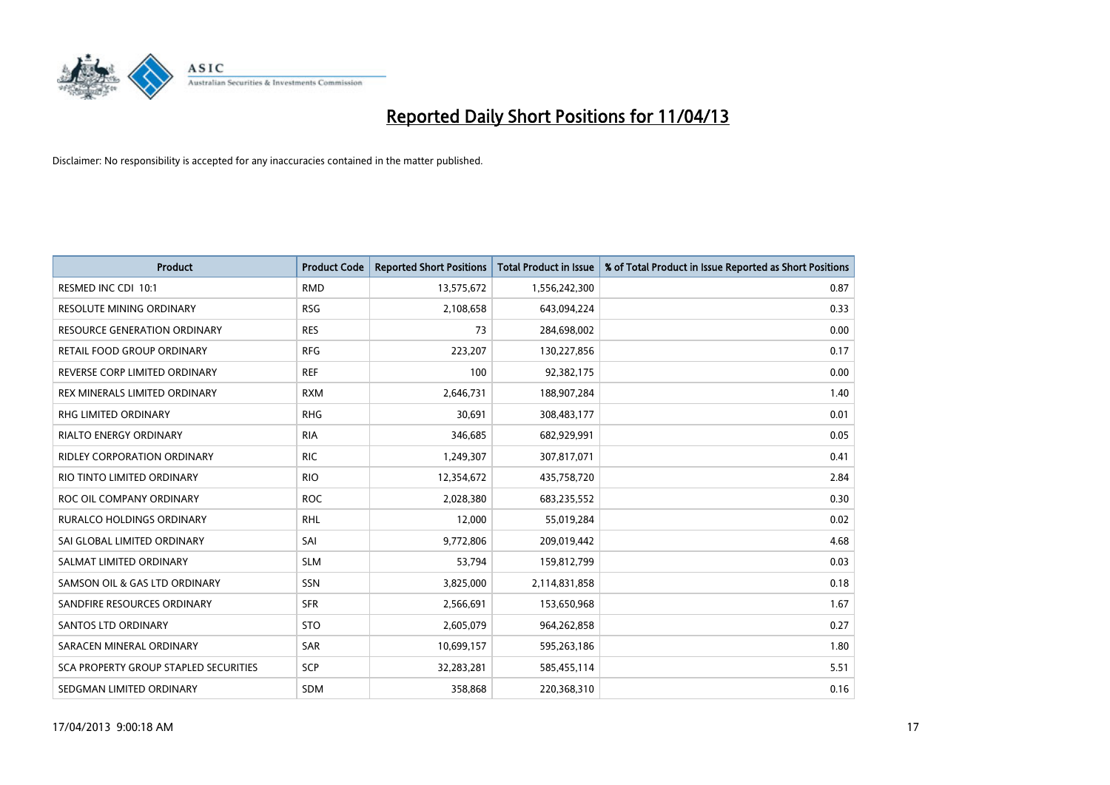

| <b>Product</b>                        | <b>Product Code</b> | <b>Reported Short Positions</b> | <b>Total Product in Issue</b> | % of Total Product in Issue Reported as Short Positions |
|---------------------------------------|---------------------|---------------------------------|-------------------------------|---------------------------------------------------------|
| RESMED INC CDI 10:1                   | <b>RMD</b>          | 13,575,672                      | 1,556,242,300                 | 0.87                                                    |
| RESOLUTE MINING ORDINARY              | <b>RSG</b>          | 2,108,658                       | 643,094,224                   | 0.33                                                    |
| <b>RESOURCE GENERATION ORDINARY</b>   | <b>RES</b>          | 73                              | 284,698,002                   | 0.00                                                    |
| RETAIL FOOD GROUP ORDINARY            | <b>RFG</b>          | 223,207                         | 130,227,856                   | 0.17                                                    |
| REVERSE CORP LIMITED ORDINARY         | <b>REF</b>          | 100                             | 92,382,175                    | 0.00                                                    |
| REX MINERALS LIMITED ORDINARY         | <b>RXM</b>          | 2,646,731                       | 188,907,284                   | 1.40                                                    |
| RHG LIMITED ORDINARY                  | <b>RHG</b>          | 30,691                          | 308,483,177                   | 0.01                                                    |
| RIALTO ENERGY ORDINARY                | <b>RIA</b>          | 346,685                         | 682,929,991                   | 0.05                                                    |
| <b>RIDLEY CORPORATION ORDINARY</b>    | <b>RIC</b>          | 1,249,307                       | 307,817,071                   | 0.41                                                    |
| RIO TINTO LIMITED ORDINARY            | <b>RIO</b>          | 12,354,672                      | 435,758,720                   | 2.84                                                    |
| ROC OIL COMPANY ORDINARY              | <b>ROC</b>          | 2,028,380                       | 683,235,552                   | 0.30                                                    |
| <b>RURALCO HOLDINGS ORDINARY</b>      | <b>RHL</b>          | 12,000                          | 55,019,284                    | 0.02                                                    |
| SAI GLOBAL LIMITED ORDINARY           | SAI                 | 9,772,806                       | 209,019,442                   | 4.68                                                    |
| SALMAT LIMITED ORDINARY               | <b>SLM</b>          | 53,794                          | 159,812,799                   | 0.03                                                    |
| SAMSON OIL & GAS LTD ORDINARY         | SSN                 | 3,825,000                       | 2,114,831,858                 | 0.18                                                    |
| SANDFIRE RESOURCES ORDINARY           | <b>SFR</b>          | 2,566,691                       | 153,650,968                   | 1.67                                                    |
| <b>SANTOS LTD ORDINARY</b>            | <b>STO</b>          | 2,605,079                       | 964,262,858                   | 0.27                                                    |
| SARACEN MINERAL ORDINARY              | <b>SAR</b>          | 10,699,157                      | 595,263,186                   | 1.80                                                    |
| SCA PROPERTY GROUP STAPLED SECURITIES | <b>SCP</b>          | 32,283,281                      | 585,455,114                   | 5.51                                                    |
| SEDGMAN LIMITED ORDINARY              | <b>SDM</b>          | 358,868                         | 220,368,310                   | 0.16                                                    |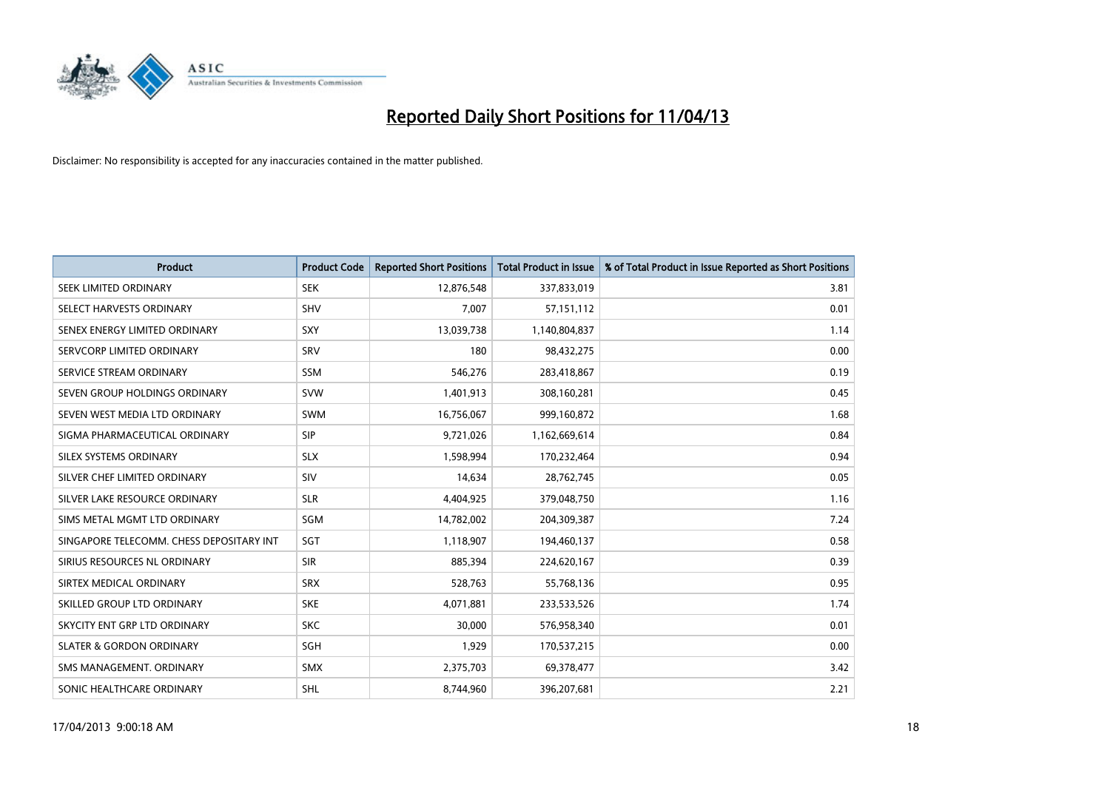

| <b>Product</b>                           | <b>Product Code</b> | <b>Reported Short Positions</b> | <b>Total Product in Issue</b> | % of Total Product in Issue Reported as Short Positions |
|------------------------------------------|---------------------|---------------------------------|-------------------------------|---------------------------------------------------------|
| SEEK LIMITED ORDINARY                    | <b>SEK</b>          | 12,876,548                      | 337,833,019                   | 3.81                                                    |
| SELECT HARVESTS ORDINARY                 | <b>SHV</b>          | 7,007                           | 57,151,112                    | 0.01                                                    |
| SENEX ENERGY LIMITED ORDINARY            | <b>SXY</b>          | 13,039,738                      | 1,140,804,837                 | 1.14                                                    |
| SERVCORP LIMITED ORDINARY                | SRV                 | 180                             | 98,432,275                    | 0.00                                                    |
| SERVICE STREAM ORDINARY                  | <b>SSM</b>          | 546,276                         | 283,418,867                   | 0.19                                                    |
| SEVEN GROUP HOLDINGS ORDINARY            | <b>SVW</b>          | 1,401,913                       | 308,160,281                   | 0.45                                                    |
| SEVEN WEST MEDIA LTD ORDINARY            | <b>SWM</b>          | 16,756,067                      | 999,160,872                   | 1.68                                                    |
| SIGMA PHARMACEUTICAL ORDINARY            | <b>SIP</b>          | 9,721,026                       | 1,162,669,614                 | 0.84                                                    |
| SILEX SYSTEMS ORDINARY                   | <b>SLX</b>          | 1,598,994                       | 170,232,464                   | 0.94                                                    |
| SILVER CHEF LIMITED ORDINARY             | <b>SIV</b>          | 14,634                          | 28,762,745                    | 0.05                                                    |
| SILVER LAKE RESOURCE ORDINARY            | <b>SLR</b>          | 4,404,925                       | 379,048,750                   | 1.16                                                    |
| SIMS METAL MGMT LTD ORDINARY             | SGM                 | 14,782,002                      | 204,309,387                   | 7.24                                                    |
| SINGAPORE TELECOMM. CHESS DEPOSITARY INT | SGT                 | 1,118,907                       | 194,460,137                   | 0.58                                                    |
| SIRIUS RESOURCES NL ORDINARY             | <b>SIR</b>          | 885,394                         | 224,620,167                   | 0.39                                                    |
| SIRTEX MEDICAL ORDINARY                  | <b>SRX</b>          | 528,763                         | 55,768,136                    | 0.95                                                    |
| SKILLED GROUP LTD ORDINARY               | <b>SKE</b>          | 4,071,881                       | 233,533,526                   | 1.74                                                    |
| SKYCITY ENT GRP LTD ORDINARY             | <b>SKC</b>          | 30,000                          | 576,958,340                   | 0.01                                                    |
| <b>SLATER &amp; GORDON ORDINARY</b>      | SGH                 | 1,929                           | 170,537,215                   | 0.00                                                    |
| SMS MANAGEMENT, ORDINARY                 | <b>SMX</b>          | 2,375,703                       | 69,378,477                    | 3.42                                                    |
| SONIC HEALTHCARE ORDINARY                | <b>SHL</b>          | 8,744,960                       | 396,207,681                   | 2.21                                                    |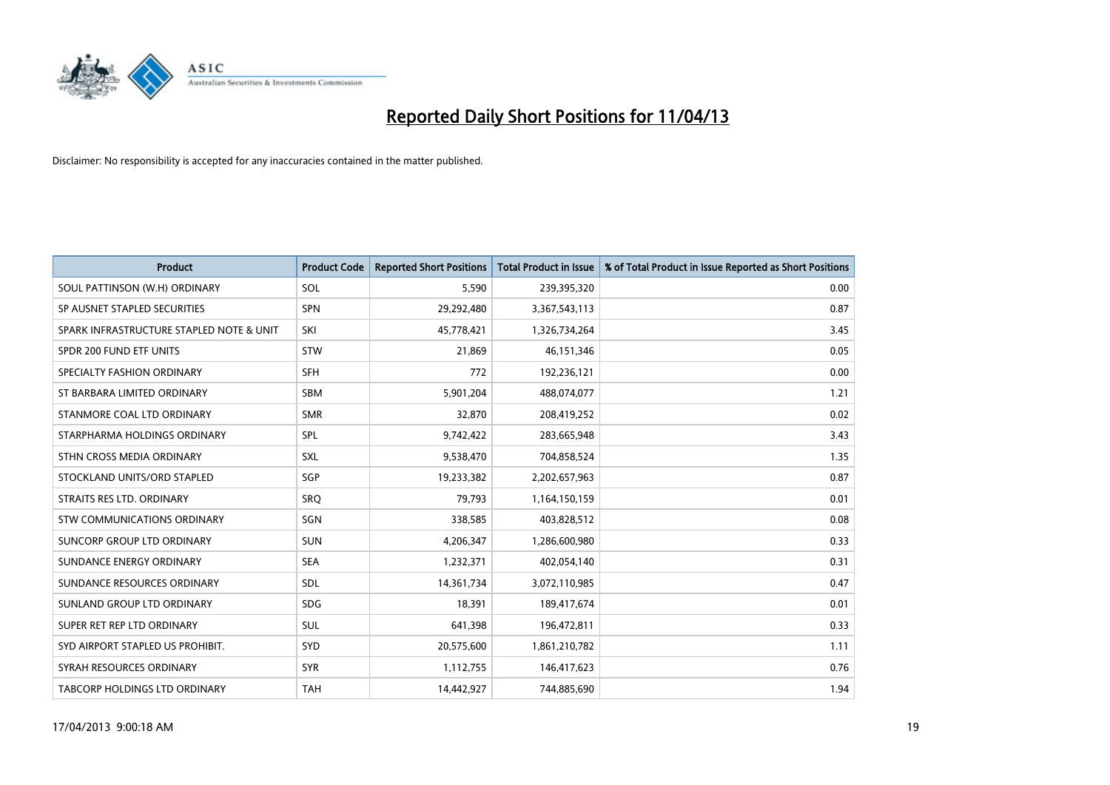

| <b>Product</b>                           | <b>Product Code</b> | <b>Reported Short Positions</b> | <b>Total Product in Issue</b> | % of Total Product in Issue Reported as Short Positions |
|------------------------------------------|---------------------|---------------------------------|-------------------------------|---------------------------------------------------------|
| SOUL PATTINSON (W.H) ORDINARY            | SOL                 | 5,590                           | 239,395,320                   | 0.00                                                    |
| SP AUSNET STAPLED SECURITIES             | <b>SPN</b>          | 29,292,480                      | 3,367,543,113                 | 0.87                                                    |
| SPARK INFRASTRUCTURE STAPLED NOTE & UNIT | SKI                 | 45,778,421                      | 1,326,734,264                 | 3.45                                                    |
| SPDR 200 FUND ETF UNITS                  | <b>STW</b>          | 21,869                          | 46,151,346                    | 0.05                                                    |
| SPECIALTY FASHION ORDINARY               | <b>SFH</b>          | 772                             | 192,236,121                   | 0.00                                                    |
| ST BARBARA LIMITED ORDINARY              | SBM                 | 5,901,204                       | 488,074,077                   | 1.21                                                    |
| STANMORE COAL LTD ORDINARY               | <b>SMR</b>          | 32,870                          | 208,419,252                   | 0.02                                                    |
| STARPHARMA HOLDINGS ORDINARY             | SPL                 | 9,742,422                       | 283,665,948                   | 3.43                                                    |
| STHN CROSS MEDIA ORDINARY                | <b>SXL</b>          | 9,538,470                       | 704,858,524                   | 1.35                                                    |
| STOCKLAND UNITS/ORD STAPLED              | SGP                 | 19,233,382                      | 2,202,657,963                 | 0.87                                                    |
| STRAITS RES LTD. ORDINARY                | <b>SRQ</b>          | 79,793                          | 1,164,150,159                 | 0.01                                                    |
| STW COMMUNICATIONS ORDINARY              | SGN                 | 338,585                         | 403,828,512                   | 0.08                                                    |
| SUNCORP GROUP LTD ORDINARY               | <b>SUN</b>          | 4,206,347                       | 1,286,600,980                 | 0.33                                                    |
| SUNDANCE ENERGY ORDINARY                 | <b>SEA</b>          | 1,232,371                       | 402,054,140                   | 0.31                                                    |
| SUNDANCE RESOURCES ORDINARY              | SDL                 | 14,361,734                      | 3,072,110,985                 | 0.47                                                    |
| SUNLAND GROUP LTD ORDINARY               | <b>SDG</b>          | 18,391                          | 189,417,674                   | 0.01                                                    |
| SUPER RET REP LTD ORDINARY               | SUL                 | 641,398                         | 196,472,811                   | 0.33                                                    |
| SYD AIRPORT STAPLED US PROHIBIT.         | SYD                 | 20,575,600                      | 1,861,210,782                 | 1.11                                                    |
| SYRAH RESOURCES ORDINARY                 | <b>SYR</b>          | 1,112,755                       | 146,417,623                   | 0.76                                                    |
| TABCORP HOLDINGS LTD ORDINARY            | <b>TAH</b>          | 14,442,927                      | 744,885,690                   | 1.94                                                    |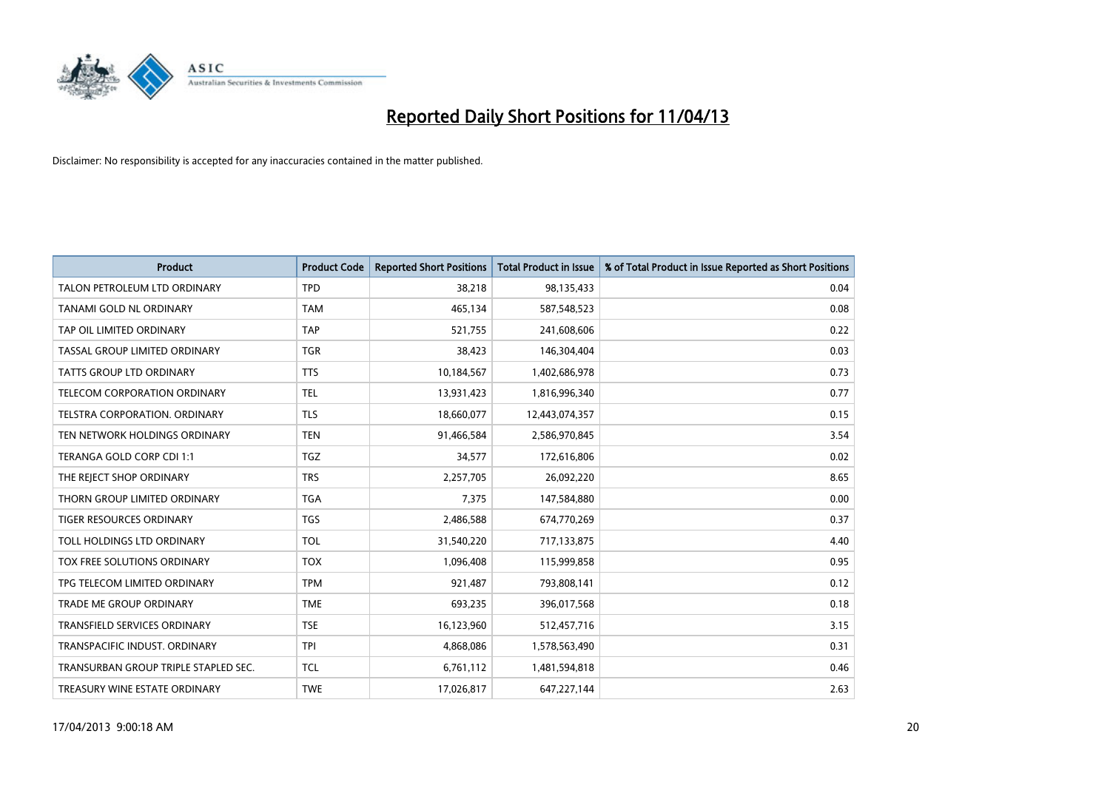

| <b>Product</b>                       | <b>Product Code</b> | <b>Reported Short Positions</b> | <b>Total Product in Issue</b> | % of Total Product in Issue Reported as Short Positions |
|--------------------------------------|---------------------|---------------------------------|-------------------------------|---------------------------------------------------------|
| TALON PETROLEUM LTD ORDINARY         | <b>TPD</b>          | 38,218                          | 98,135,433                    | 0.04                                                    |
| TANAMI GOLD NL ORDINARY              | <b>TAM</b>          | 465,134                         | 587,548,523                   | 0.08                                                    |
| TAP OIL LIMITED ORDINARY             | <b>TAP</b>          | 521,755                         | 241,608,606                   | 0.22                                                    |
| TASSAL GROUP LIMITED ORDINARY        | <b>TGR</b>          | 38,423                          | 146,304,404                   | 0.03                                                    |
| <b>TATTS GROUP LTD ORDINARY</b>      | <b>TTS</b>          | 10,184,567                      | 1,402,686,978                 | 0.73                                                    |
| TELECOM CORPORATION ORDINARY         | <b>TEL</b>          | 13,931,423                      | 1,816,996,340                 | 0.77                                                    |
| TELSTRA CORPORATION, ORDINARY        | <b>TLS</b>          | 18,660,077                      | 12,443,074,357                | 0.15                                                    |
| TEN NETWORK HOLDINGS ORDINARY        | <b>TEN</b>          | 91,466,584                      | 2,586,970,845                 | 3.54                                                    |
| TERANGA GOLD CORP CDI 1:1            | <b>TGZ</b>          | 34,577                          | 172,616,806                   | 0.02                                                    |
| THE REJECT SHOP ORDINARY             | <b>TRS</b>          | 2,257,705                       | 26,092,220                    | 8.65                                                    |
| THORN GROUP LIMITED ORDINARY         | <b>TGA</b>          | 7,375                           | 147,584,880                   | 0.00                                                    |
| <b>TIGER RESOURCES ORDINARY</b>      | <b>TGS</b>          | 2,486,588                       | 674,770,269                   | 0.37                                                    |
| TOLL HOLDINGS LTD ORDINARY           | <b>TOL</b>          | 31,540,220                      | 717,133,875                   | 4.40                                                    |
| TOX FREE SOLUTIONS ORDINARY          | <b>TOX</b>          | 1,096,408                       | 115,999,858                   | 0.95                                                    |
| TPG TELECOM LIMITED ORDINARY         | <b>TPM</b>          | 921,487                         | 793,808,141                   | 0.12                                                    |
| <b>TRADE ME GROUP ORDINARY</b>       | <b>TME</b>          | 693,235                         | 396,017,568                   | 0.18                                                    |
| TRANSFIELD SERVICES ORDINARY         | <b>TSE</b>          | 16,123,960                      | 512,457,716                   | 3.15                                                    |
| TRANSPACIFIC INDUST, ORDINARY        | <b>TPI</b>          | 4,868,086                       | 1,578,563,490                 | 0.31                                                    |
| TRANSURBAN GROUP TRIPLE STAPLED SEC. | <b>TCL</b>          | 6,761,112                       | 1,481,594,818                 | 0.46                                                    |
| TREASURY WINE ESTATE ORDINARY        | <b>TWE</b>          | 17,026,817                      | 647,227,144                   | 2.63                                                    |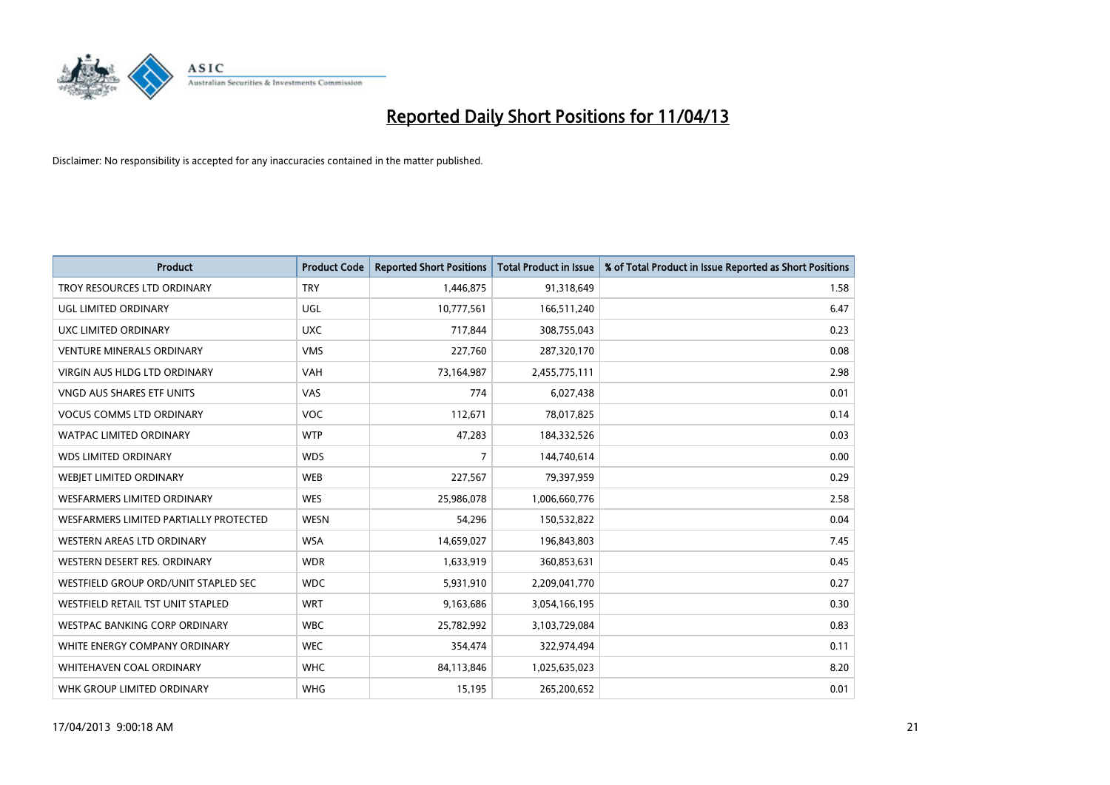

| <b>Product</b>                         | <b>Product Code</b> | <b>Reported Short Positions</b> | <b>Total Product in Issue</b> | % of Total Product in Issue Reported as Short Positions |
|----------------------------------------|---------------------|---------------------------------|-------------------------------|---------------------------------------------------------|
| TROY RESOURCES LTD ORDINARY            | <b>TRY</b>          | 1,446,875                       | 91,318,649                    | 1.58                                                    |
| UGL LIMITED ORDINARY                   | UGL                 | 10,777,561                      | 166,511,240                   | 6.47                                                    |
| UXC LIMITED ORDINARY                   | <b>UXC</b>          | 717,844                         | 308,755,043                   | 0.23                                                    |
| <b>VENTURE MINERALS ORDINARY</b>       | <b>VMS</b>          | 227,760                         | 287,320,170                   | 0.08                                                    |
| <b>VIRGIN AUS HLDG LTD ORDINARY</b>    | <b>VAH</b>          | 73,164,987                      | 2,455,775,111                 | 2.98                                                    |
| <b>VNGD AUS SHARES ETF UNITS</b>       | VAS                 | 774                             | 6,027,438                     | 0.01                                                    |
| <b>VOCUS COMMS LTD ORDINARY</b>        | <b>VOC</b>          | 112,671                         | 78,017,825                    | 0.14                                                    |
| WATPAC LIMITED ORDINARY                | <b>WTP</b>          | 47,283                          | 184,332,526                   | 0.03                                                    |
| <b>WDS LIMITED ORDINARY</b>            | <b>WDS</b>          | $\overline{7}$                  | 144,740,614                   | 0.00                                                    |
| WEBJET LIMITED ORDINARY                | <b>WEB</b>          | 227,567                         | 79,397,959                    | 0.29                                                    |
| WESFARMERS LIMITED ORDINARY            | <b>WES</b>          | 25,986,078                      | 1,006,660,776                 | 2.58                                                    |
| WESFARMERS LIMITED PARTIALLY PROTECTED | <b>WESN</b>         | 54,296                          | 150,532,822                   | 0.04                                                    |
| WESTERN AREAS LTD ORDINARY             | <b>WSA</b>          | 14,659,027                      | 196,843,803                   | 7.45                                                    |
| WESTERN DESERT RES. ORDINARY           | <b>WDR</b>          | 1,633,919                       | 360,853,631                   | 0.45                                                    |
| WESTFIELD GROUP ORD/UNIT STAPLED SEC   | <b>WDC</b>          | 5,931,910                       | 2,209,041,770                 | 0.27                                                    |
| WESTFIELD RETAIL TST UNIT STAPLED      | <b>WRT</b>          | 9,163,686                       | 3,054,166,195                 | 0.30                                                    |
| <b>WESTPAC BANKING CORP ORDINARY</b>   | <b>WBC</b>          | 25,782,992                      | 3,103,729,084                 | 0.83                                                    |
| WHITE ENERGY COMPANY ORDINARY          | <b>WEC</b>          | 354,474                         | 322,974,494                   | 0.11                                                    |
| WHITEHAVEN COAL ORDINARY               | <b>WHC</b>          | 84,113,846                      | 1,025,635,023                 | 8.20                                                    |
| WHK GROUP LIMITED ORDINARY             | <b>WHG</b>          | 15,195                          | 265,200,652                   | 0.01                                                    |